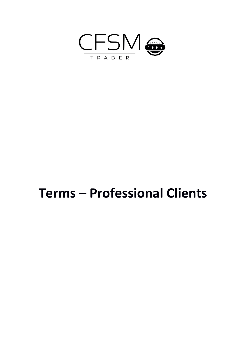

# **Terms – Professional Clients**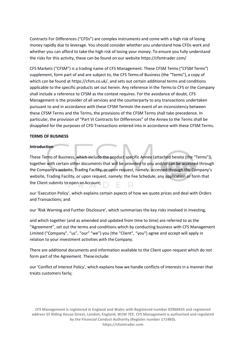Contracts For Differences ("CFDs") are complex instruments and come with a high risk of losing money rapidly due to leverage. You should consider whether you understand how CFDs work and whether you can afford to take the high risk of losing your money. To ensure you fully understand the risks for this activity, these can be found on our website https://cfsmtrader.com/

CFS Markets ("CFSM") is a trading name of CFS Management. These CFSM Terms ("CFSM Terms") supplement, form part of and are subject to, the CFS Terms of Business (the "Terms"), a copy of which can be found at https://cfsm.co.uk/, and sets out certain additional terms and conditions applicable to the specific products set out herein. Any reference in the Terms to CFS or the Company shall include a reference to CFSM as the context requires. For the avoidance of doubt, CFS Management is the provider of all services and the counterparty to any transactions undertaken pursuant to and in accordance with these CFSM TermsIn the event of an inconsistency between these CFSM Terms and the Terms, the provisions of the CFSM Terms shall take precedence. In particular, the provision of "Part VI Contracts for Differences" of the Annex to the Terms shall be disapplied for the purposes of CFD Transactions entered into in accordance with these CFSM Terms.

#### **TERMS OF BUSINESS**

#### **Introduction**

These Terms of Business, which include the product specific Annex (attached hereto (the "Terms")), together with certain other documents that will be provided to you and/or can be accessed through the Company's website, Trading Facility, or upon request, namely: accessed through the Company's website, Trading Facility, or upon request, namely: the Fee Schedule; any application or form that the Client submits to open an Account;

our 'Execution Policy', which explains certain aspects of how we quote prices and deal with Orders and Transactions; and

our 'Risk Warning and Further Disclosure', which summarises the key risks involved in investing,

and which together (and as amended and updated from time to time) are referred to as the "Agreement", set out the terms and conditions which by conducting business with CFS Management Limited ("Company", "us", "our" "we") you (the "Client", "you") agree and accept will apply in relation to your investment activities with the Company.

There are additional documents and information available to the Client upon request which do not form part of the Agreement. These include:

our 'Conflict of Interest Policy', which explains how we handle conflicts of interests in a manner that treats customers fairly;

**CFS Management is registered in England and Wales with Registered number 02960433 and registered address 55 Riding House Street, London, England, W1W 7EE. CFS Management is authorised and regulated by the Financial Conduct Authority (Register number 171480). https://cfsmtrader.com**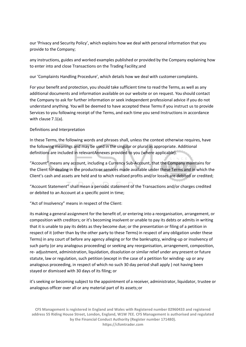our 'Privacy and Security Policy', which explains how we deal with personal information that you provide to the Company;

any instructions, guides and worked examples published or provided by the Company explaining how to enter into and close Transactions on the Trading Facility;and

our 'Complaints Handling Procedure', which details how we deal with customer complaints.

For your benefit and protection, you should take sufficient time to read the Terms, as well as any additional documents and information available on our website or on request. You should contact the Company to ask for further information or seek independent professional advice if you do not understand anything. You will be deemed to have accepted these Terms if you instruct us to provide Services to you following receipt of the Terms, and each time you send Instructions in accordance with clause 7.1(a).

#### Definitions and Interpretation

In these Terms, the following words and phrases shall, unless the context otherwise requires, have the following meanings and may be used in the singular or plural as appropriate. Additional definitions are included in relevantAnnexes provided to you (where applicable).

"Account" means any account, including a Currency Sub-Account, that the Company maintains for the Client for dealing in the products or services made available under these Terms and in which the Client's cash and assets are held and to which realised profits and/or losses are debited or credited;

"Account Statement" shall mean a periodic statement of the Transactions and/or charges credited or debited to an Account at a specific point in time;

"Act of Insolvency" means in respect of the Client:

its making a general assignment for the benefit of, or entering into a reorganisation, arrangement, or composition with creditors; or it's becoming insolvent or unable to pay its debts or admits in writing that it is unable to pay its debts as they become due; or the presentation or filing of a petition in respect of it (other than by the other party to these Terms) in respect of any obligation under these Terms) in any court of before any agency alleging or for the bankruptcy, winding-up or insolvency of such party (or any analogous proceeding) or seeking any reorganisation, arrangement, composition, re- adjustment, administration, liquidation, dissolution orsimilar relief under any present or future statute, law or regulation, such petition (except in the case of a petition for winding- up or any analogous proceeding, in respect of which no such 30 day period shall apply ) not having been stayed or dismissed with 30 days of its filing; or

it's seeking or becoming subject to the appointment of a receiver, administrator, liquidator, trustee or analogous officer over all or any material part of its assets;or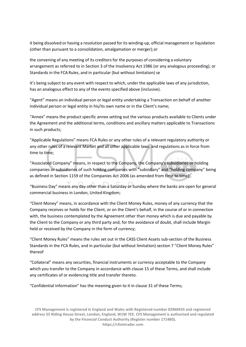it being dissolved or having a resolution passed for its winding-up, official management or liquidation (other than pursuant to a consolidation, amalgamation or merger);or

the convening of any meeting of its creditors for the purposes of considering a voluntary arrangement as referred to in Section 3 of the Insolvency Act 1986 (or any analogous proceeding); or Standards in the FCA Rules, and in particular (but without limitation) se

It's being subject to any event with respect to which, under the applicable laws of any jurisdiction, has an analogous effect to any of the events specified above (inclusive).

"Agent" means an individual person or legal entity undertaking a Transaction on behalf of another individual person or legal entity in his/its own name or in the Client's name;

"Annex" means the product specific annex setting out the various products available to Clients under the Agreement and the additional terms, conditions and ancillary matters applicable to Transactions in such products;

"Applicable Regulations" means FCA Rules or any other rules of a relevant regulatory authority or any other rules of a relevant Market and all other applicable laws, and regulations as in force from time to time;

"Associated Company" means, in respect to the Company, the Company's subsidiaries or holding companies or subsidiaries of such holding companies with "subsidiary" and "holding company" being as defined in Section 1159 of the Companies Act 2006 (as amended from time to time);.

"Business Day" means any day other than a Saturday or Sunday where the banks are open for general commercial business in London, United Kingdom;

"Client Money" means, in accordance with the Client Money Rules, money of any currency that the Company receives or holds for the Client, or on the Client's behalf, in the course of or in connection with, the business contemplated by the Agreement other than money which is due and payable by the Client to the Company or any third party and, for the avoidance of doubt, shall include Margin held or received by the Company in the form of currency;

"Client Money Rules" means the rules set out in the CASS Client Assets sub-section of the Business Standards in the FCA Rules, and in particular (but without limitation) section 7 "Client Money Rules" thereof

"Collateral" means any securities, financial instruments or currency acceptable to the Company which you transfer to the Company in accordance with clause 15 of these Terms, and shall include any certificates of or evidencing title and transfer thereto.

"Confidential Information" has the meaning given to it in clause 31 of these Terms;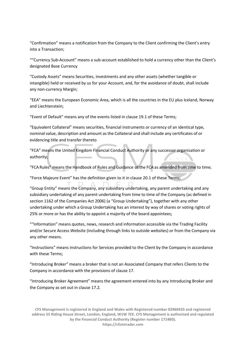"Confirmation" means a notification from the Company to the Client confirming the Client's entry into a Transaction;

""Currency Sub-Account" means a sub-account established to hold a currency other than the Client's designated Base Currency

"Custody Assets" means Securities, investments and any other assets (whether tangible or intangible) held or received by us for your Account, and, for the avoidance of doubt, shall include any non-currency Margin;

"EEA" means the European Economic Area, which is all the countries in the EU plus Iceland, Norway and Liechtenstein;

"Event of Default" means any of the events listed in clause 19.1 of these Terms;

"Equivalent Collateral" means securities, financial instruments or currency of an identical type, nominal value, description and amount as the Collateral and shall include any certificates of or evidencing title and transfer thereto

"FCA" means the United Kingdom Financial Conduct Authority or any successor organisation or authority;

"FCA Rules" means the Handbook of Rules and Guidance of the FCA as amended from time to time;

"Force Majeure Event" has the definition given to it in clause 20.1 of these Terms;

"Group Entity" means the Company, any subsidiary undertaking, any parent undertaking and any subsidiary undertaking of any parent undertaking from time to time of the Company (as defined in section 1162 of the Companies Act 2006) (a "Group Undertaking"), together with any other undertaking under which a Group Undertaking has an interest by way of shares or voting rights of 25% or more or has the ability to appoint a majority of the board appointees;

""Information" means quotes, news, research and information accessible via the Trading Facility and/or Secure Access Website (including through links to outside websites) or from the Company via any other means.

"Instructions" means instructions for Services provided to the Client by the Company in accordance with these Terms;

"Introducing Broker" means a broker that is not an Associated Company that refers Clients to the Company in accordance with the provisions of clause 17.

"Introducing Broker Agreement" means the agreement entered into by any Introducing Broker and the Company as set out in clause 17.2.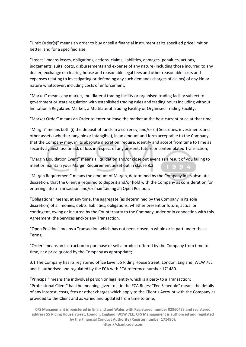"Limit Order(s)" means an order to buy or sell a financial instrument at its specified price limit or better, and for a specified size;

"Losses" means losses, obligations, actions, claims, liabilities, damages, penalties, actions, judgements, suits, costs, disbursements and expense of any nature (including those incurred to any dealer, exchange or clearing house and reasonable legal fees and other reasonable costs and expenses relating to investigating or defending any such demands charges of claims) of any kin or nature whatsoever, including costs of enforcement;

"Market" means any market, multilateral trading facility or organised trading facility subject to government or state regulation with established trading rules and trading hours including without limitation a Regulated Market, a Multilateral Trading Facility or Organised Trading Facility;

"Market Order" means an Order to enter or leave the market at the best current price at that time;

"Margin" means both (i) the deposit of funds in a currency, and/or (ii) Securities, investments and other assets (whether tangible or intangible), in an amount and form acceptable to the Company, that the Company may, in its absolute discretion, require, identify and accept from time to time as security against loss or risk of loss in respect of any present, future or contemplated Transaction;

"Margin Liquidation Event" means a liquidation and/or close out event as a result of you failing to meet or maintain your Margin Requirement as set out in clause 8.3

"Margin Requirement" means the amount of Margin, determined by the Company in its absolute discretion, that the Client is required to deposit and/or hold with the Company as consideration for entering into a Transaction and/or maintaining an Open Position;

"Obligations" means, at any time, the aggregate (as determined by the Company in its sole discretion) of all monies, debts, liabilities, obligations, whether present or future, actual or contingent, owing or incurred by the Counterparty to the Company under or in connection with this Agreement, the Services and/or any Transaction.

"Open Position" means a Transaction which has not been closed in whole or in part under these Terms;.

"Order" means an instruction to purchase or sell a product offered by the Company from time to time, at a price quoted by the Company as appropriate;

3.1 The Company has its registered office Level 55 Riding House Street, London, England, W1W 7EE and is authorised and regulated by the FCA with FCA reference number 171480.

"Principal" means the individual person or legal entity which is a party to a Transaction; "Professional Client" has the meaning given to it in the FCA Rules; "Fee Schedule" means the details of any interest, costs, fees or other charges which apply to the Client's Account with the Company as provided to the Client and as varied and updated from time to time;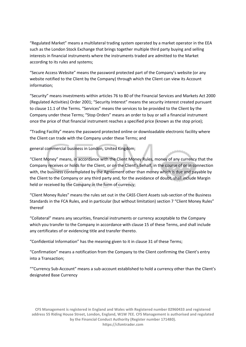"Regulated Market" means a multilateral trading system operated by a market operator in the EEA such as the London Stock Exchange that brings together multiple third party buying and selling interests in financial instruments where the instruments traded are admitted to the Market according to its rules and systems;

"Secure Access Website" means the password protected part of the Company's website (or any website notified to the Client by the Company) through which the Client can view its Account information;

"Security" means investments within articles 76 to 80 of the Financial Services and Markets Act 2000 (Regulated Activities) Order 2001; "Security Interest" means the security interest created pursuant to clause 11.1 of the Terms. "Services" means the services to be provided to the Client by the Company under these Terms; "Stop Orders" means an order to buy or sell a financial instrument once the price of that financial instrument reaches a specified price (known as the stop price);

"Trading Facility" means the password protected online or downloadable electronic facility where the Client can trade with the Company under these Terms; and

general commercial business in London, United Kingdom;

"Client Money" means, in accordance with the Client Money Rules, money of any currency that the Company receives or holds for the Client, or on the Client's behalf, in the course of or in connection with, the business contemplated by the Agreement other than money which is due and payable by the Client to the Company or any third party and, for the avoidance of doubt, shall include Margin held or received by the Company in the form of currency;

"Client Money Rules" means the rules set out in the CASS Client Assets sub-section of the Business Standards in the FCA Rules, and in particular (but without limitation) section 7 "Client Money Rules" thereof

"Collateral" means any securities, financial instruments or currency acceptable to the Company which you transfer to the Company in accordance with clause 15 of these Terms, and shall include any certificates of or evidencing title and transfer thereto.

"Confidential Information" has the meaning given to it in clause 31 of these Terms;

"Confirmation" means a notification from the Company to the Client confirming the Client's entry into a Transaction;

""Currency Sub-Account" means a sub-account established to hold a currency other than the Client's designated Base Currency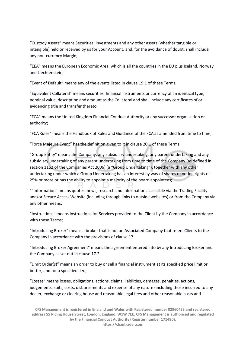"Custody Assets" means Securities, investments and any other assets (whether tangible or intangible) held or received by us for your Account, and, for the avoidance of doubt, shall include any non-currency Margin;

"EEA" means the European Economic Area, which is all the countries in the EU plus Iceland, Norway and Liechtenstein;

"Event of Default" means any of the events listed in clause 19.1 of these Terms;

"Equivalent Collateral" means securities, financial instruments or currency of an identical type, nominal value, description and amount as the Collateral and shall include any certificates of or evidencing title and transfer thereto

"FCA" means the United Kingdom Financial Conduct Authority or any successor organisation or authority;

"FCA Rules" means the Handbook of Rules and Guidance of the FCA as amended from time to time;

"Force Majeure Event" has the definition given to it in clause 20.1 of these Terms;

"Group Entity" means the Company, any subsidiary undertaking, any parent undertaking and any subsidiary undertaking of any parent undertaking from time to time of the Company (as defined in section 1162 of the Companies Act 2006) (a "Group Undertaking"), together with any other undertaking under which a Group Undertaking has an interest by way of shares or voting rights of 25% or more or has the ability to appoint a majority of the board appointees;

""Information" means quotes, news, research and information accessible via the Trading Facility and/or Secure Access Website (including through links to outside websites) or from the Company via any other means.

"Instructions" means instructions for Services provided to the Client by the Company in accordance with these Terms;

"Introducing Broker" means a broker that is not an Associated Company that refers Clients to the Company in accordance with the provisions of clause 17.

"Introducing Broker Agreement" means the agreement entered into by any Introducing Broker and the Company as set out in clause 17.2.

"Limit Order(s)" means an order to buy or sell a financial instrument at its specified price limit or better, and for a specified size;

"Losses" means losses, obligations, actions, claims, liabilities, damages, penalties, actions, judgements, suits, costs, disbursements and expense of any nature (including those incurred to any dealer, exchange or clearing house and reasonable legal fees and other reasonable costs and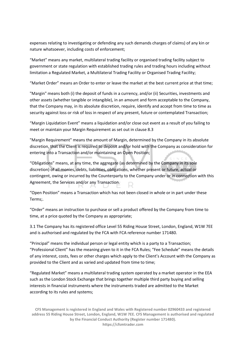expenses relating to investigating or defending any such demands charges of claims) of any kin or nature whatsoever, including costs of enforcement;

"Market" means any market, multilateral trading facility or organised trading facility subject to government or state regulation with established trading rules and trading hours including without limitation a Regulated Market, a Multilateral Trading Facility or Organised Trading Facility;

"Market Order" means an Order to enter or leave the market at the best current price at that time;

"Margin" means both (i) the deposit of funds in a currency, and/or (ii) Securities, investments and other assets (whether tangible or intangible), in an amount and form acceptable to the Company, that the Company may, in its absolute discretion, require, identify and accept from time to time as security against loss or risk of loss in respect of any present, future or contemplated Transaction;

"Margin Liquidation Event" means a liquidation and/or close out event as a result of you failing to meet or maintain your Margin Requirement as set out in clause 8.3

"Margin Requirement" means the amount of Margin, determined by the Company in its absolute discretion, that the Client is required to deposit and/or hold with the Company as consideration for entering into a Transaction and/or maintaining an Open Position;

"Obligations" means, at any time, the aggregate (as determined by the Company in its sole discretion) of all monies, debts, liabilities, obligations, whether present or future, actual or contingent, owing or incurred by the Counterparty to the Company under or in connection with this Agreement, the Services and/or any Transaction.

"Open Position" means a Transaction which has not been closed in whole or in part under these Terms;.

"Order" means an instruction to purchase or sell a product offered by the Company from time to time, at a price quoted by the Company as appropriate;

3.1 The Company has its registered office Level 55 Riding House Street, London, England, W1W 7EE and is authorised and regulated by the FCA with FCA reference number 171480.

"Principal" means the individual person or legal entity which is a party to a Transaction; "Professional Client" has the meaning given to it in the FCA Rules; "Fee Schedule" means the details of any interest, costs, fees or other charges which apply to the Client's Account with the Company as provided to the Client and as varied and updated from time to time;

"Regulated Market" means a multilateral trading system operated by a market operator in the EEA such as the London Stock Exchange that brings together multiple third party buying and selling interests in financial instruments where the instruments traded are admitted to the Market according to its rules and systems;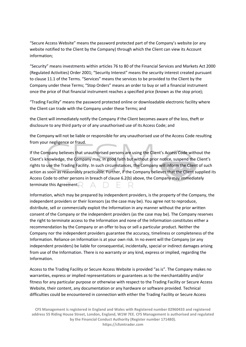"Secure Access Website" means the password protected part of the Company's website (or any website notified to the Client by the Company) through which the Client can view its Account information;

"Security" means investments within articles 76 to 80 of the Financial Services and Markets Act 2000 (Regulated Activities) Order 2001; "Security Interest" means the security interest created pursuant to clause 11.1 of the Terms. "Services" means the services to be provided to the Client by the Company under these Terms; "Stop Orders" means an order to buy or sell a financial instrument once the price of that financial instrument reaches a specified price (known as the stop price);

"Trading Facility" means the password protected online or downloadable electronic facility where the Client can trade with the Company under these Terms; and

the Client will immediately notify the Company if the Client becomes aware of the loss, theft or disclosure to any third party or of any unauthorised use of its Access Code; and

the Company will not be liable or responsible for any unauthorised use of the Access Code resulting from your negligence or fraud.

If the Company believes that unauthorised persons are using the Client's Access Code without the Client's knowledge, the Company may, in good faith but without prior notice, suspend the Client's rights to use the Trading Facility. In such circumstances, the Company will inform the Client of such action as soon as reasonably practicable. Further, if the Company believes that the Client supplied its Access Code to other persons in breach of clause 6.2(b) above, the Company may immediately terminate this Agreement.

Information, which may be prepared by independent providers, is the property of the Company, the independent providers or their licensors (as the case may be). You agree not to reproduce, distribute, sell or commercially exploit the Information in any manner without the prior written consent of the Company or the independent providers (as the case may be). The Company reserves the right to terminate access to the Information and none of the Information constitutes either a recommendation by the Company or an offer to buy or sell a particular product. Neither the Company nor the independent providers guarantee the accuracy, timeliness or completeness of the Information. Reliance on Information is at your own risk. In no event will the Company (or any independent providers) be liable for consequential, incidentally, special or indirect damages arising from use of the Information. There is no warranty or any kind, express or implied, regarding the Information.

Access to the Trading Facility or Secure Access Website is provided "as is". The Company makes no warranties, express or implied representations or guarantees as to the merchantability and/or fitness for any particular purpose or otherwise with respect to the Trading Facility or Secure Access Website, their content, any documentation or any hardware or software provided. Technical difficulties could be encountered in connection with either the Trading Facility or Secure Access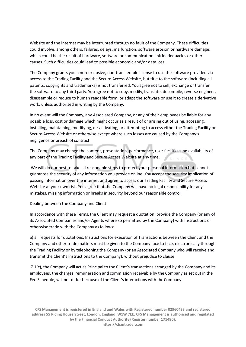Website and the internet may be interrupted through no fault of the Company. These difficulties could involve, among others, failures, delays, malfunction, software erosion or hardware damage, which could be the result of hardware, software or communication link inadequacies or other causes. Such difficulties could lead to possible economic and/or data loss.

The Company grants you a non-exclusive, non-transferable license to use the software provided via access to the Trading Facility and the Secure Access Website, but title to the software (including all patents, copyrights and trademarks) is not transferred. You agree not to sell, exchange or transfer the software to any third party. You agree not to copy, modify, translate, decompile, reverse engineer, disassemble or reduce to human readable form, or adapt the software or use it to create a derivative work, unless authorised in writing by the Company.

In no event will the Company, any Associated Company, or any of their employees be liable for any possible loss, cost or damage which might occur as a result of or arising out of using, accessing, installing, maintaining, modifying, de-activating, or attempting to access either the Trading Facility or Secure Access Website or otherwise except where such losses are caused by the Company's negligence or breach of contract.

The Company may change the content, presentation, performance, user facilities and availability of any part of the Trading Facility and Secure Access Website at any time.

We will do our best to take all reasonable steps to protect your personal information but cannot guarantee the security of any information you provide online. You accept the security implication of passing information over the internet and agree to access our Trading Facility and Secure Access Website at your own risk. You agree that the Company will have no legal responsibility for any mistakes, missing information or breaks in security beyond our reasonable control.

#### Dealing between the Company and Client

In accordance with these Terms, the Client may request a quotation, provide the Company (or any of its Associated Companies and/or Agents where so permitted by the Company) with Instructions or otherwise trade with the Company as follows:

a) all requests for quotations, Instructions for execution of Transactions between the Client and the Company and other trade matters must be given to the Company face to face, electronically through the Trading Facility or by telephoning the Company (or an Associated Company who will receive and transmit the Client's Instructions to the Company). without prejudice to clause

7.1(c), the Company will act as Principal to the Client's transactions arranged by the Company and its employees. the charges, remuneration and commission receivable by the Company as set out in the Fee Schedule, will not differ because of the Client's interactions with theCompany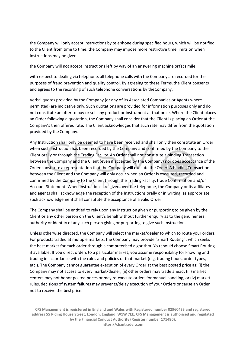the Company will only accept Instructions by telephone during specified hours, which will be notified to the Client from time to time. the Company may impose more restrictive time limits on when Instructions may begiven.

the Company will not accept Instructions left by way of an answering machine orfacsimile.

with respect to dealing via telephone, all telephone calls with the Company are recorded for the purposes of fraud prevention and quality control. By agreeing to these Terms, the Client consents and agrees to the recording of such telephone conversations by theCompany.

Verbal quotes provided by the Company (or any of its Associated Companies or Agents where permitted) are indicative only. Such quotations are provided for information purposes only and do not constitute an offer to buy or sell any product or instrument at that price. Where the Client places an Order following a quotation, the Company shall consider that the Client is placing an Order at the Company's then offered rate. The Client acknowledges that such rate may differ from the quotation provided by the Company.

Any Instruction shall only be deemed to have been received and shall only then constitute an Order when such Instruction has been recorded by the Company and confirmed by the Company to the Client orally or through the Trading Facility. An Order shall not constitute a binding Transaction between the Company and the Client (even if accepted by the Company) nor does acceptance of the Order constitute a representation that the Company will execute the Order. A binding Transaction between the Client and the Company will only occur when an Order is executed, recorded and confirmed by the Company to the Client through the Trading Facility, trade Confirmation and/or Account Statement. When Instructions are given over the telephone, the Company or its affiliates and agents shall acknowledge the reception of the Instructions orally or in writing, as appropriate, such acknowledgement shall constitute the acceptance of a valid Order

The Company shall be entitled to rely upon any Instruction given or purporting to be given by the Client or any other person on the Client's behalf without further enquiry as to the genuineness, authority or identity of any such person giving or purporting to give such Instructions.

Unless otherwise directed, the Company will select the market/dealer to which to route your orders. For products traded at multiple markets, the Company may provide "Smart Routing", which seeks the best market for each order through a computerised algorithm. You should choose Smart Routing if available. If you direct orders to a particular market, you assume responsibility for knowing and trading in accordance with the rules and policies of that market (e.g. trading hours, order types, etc.). The Company cannot guarantee execution of every Order at the best posted price as: (i) the Company may not access to every market/dealer; (ii) other orders may trade ahead; (iii) market centers may not honor posted prices or may re-execute orders for manual handling; or (iv) market rules, decisions of system failures may prevents/delay execution of your Orders or cause an Order not to receive the bestprice.

**CFS Management is registered in England and Wales with Registered number 02960433 and registered address 55 Riding House Street, London, England, W1W 7EE. CFS Management is authorised and regulated by the Financial Conduct Authority (Register number 171480). https://cfsmtrader.com**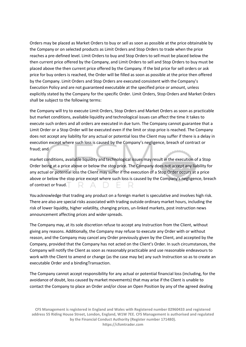Orders may be placed as Market Orders to buy or sell as soon as possible at the price obtainable by the Company or on selected products as Limit Orders and Stop Orders to trade when the price reaches a pre-defined level. Limit Orders to buy and Stop Orders to sell must be placed below the then current price offered by the Company, and Limit Orders to sell and Stop Orders to buy must be placed above the then current price offered by the Company. If the bid price for sell orders or ask price for buy orders is reached, the Order will be filled as soon as possible at the price then offered by the Company. Limit Orders and Stop Orders are executed consistent with the Company's Execution Policy and are not guaranteed executable at the specified price or amount, unless explicitly stated by the Company for the specific Order. Limit Orders, Stop Orders and Market Orders shall be subject to the following terms:

the Company will try to execute Limit Orders, Stop Orders and Market Orders as soon as practicable but market conditions, available liquidity and technological issues can affect the time it takes to execute such orders and all orders are executed in due turn. The Company cannot guarantee that a Limit Order or a Stop Order will be executed even if the limit or stop price is reached. The Company does not accept any liability for any actual or potential loss the Client may suffer if there is a delay in execution except where such loss is caused by the Company's negligence, breach of contract or fraud; and

market conditions, available liquidity and technological issues may result in the execution of a Stop Order being at a price above or below the stop price. The Company does not accept any liability for any actual or potential loss the Client may suffer if the execution of a Stop Order occurs at a price above or below the stop price except where such loss is caused by the Company's negligence, breach of contract or fraud.

You acknowledge that trading any product on a foreign market is speculative and involves high risk. There are also are special risks associated with trading outside ordinary market hours, including the risk of lower liquidity, higher volatility, changing prices, un-linked markets, post instruction news announcement affecting prices and wider spreads.

The Company may, at its sole discretion refuse to accept any Instruction from the Client, without giving any reasons. Additionally, the Company may refuse to execute any Order with or without reason, and the Company may cancel any Order previously given by the Client, and accepted by the Company, provided that the Company has not acted on the Client's Order. In such circumstances, the Company will notify the Client as soon as reasonably practicable and use reasonable endeavours to work with the Client to amend or change (as the case may be) any such Instruction so as to create an executable Order and a bindingTransaction.

The Company cannot accept responsibility for any actual or potential financial loss (including, for the avoidance of doubt, loss caused by market movements) that may arise if the Client is unable to contact the Company to place an Order and/or close an Open Position by any of the agreed dealing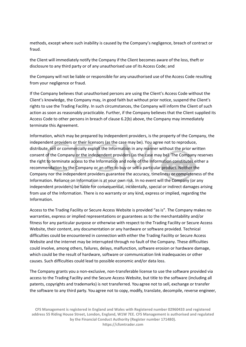methods, except where such inability is caused by the Company's negligence, breach of contract or fraud.

the Client will immediately notify the Company if the Client becomes aware of the loss, theft or disclosure to any third party or of any unauthorised use of its Access Code; and

the Company will not be liable or responsible for any unauthorised use of the Access Code resulting from your negligence or fraud.

If the Company believes that unauthorised persons are using the Client's Access Code without the Client's knowledge, the Company may, in good faith but without prior notice, suspend the Client's rights to use the Trading Facility. In such circumstances, the Company will inform the Client of such action as soon as reasonably practicable. Further, if the Company believes that the Client supplied its Access Code to other persons in breach of clause 6.2(b) above, the Company may immediately terminate this Agreement.

Information, which may be prepared by independent providers, is the property of the Company, the independent providers or their licensors (as the case may be). You agree not to reproduce, distribute, sell or commercially exploit the Information in any manner without the prior written consent of the Company or the independent providers (as the case may be). The Company reserves the right to terminate access to the Information and none of the Information constitutes either a recommendation by the Company or an offer to buy or sell a particular product. Neither the Company nor the independent providers guarantee the accuracy, timeliness or completeness of the Information. Reliance on Information is at your own risk. In no event will the Company (or any independent providers) be liable for consequential, incidentally, special or indirect damages arising from use of the Information. There is no warranty or any kind, express or implied, regarding the Information.

Access to the Trading Facility or Secure Access Website is provided "as is". The Company makes no warranties, express or implied representations or guarantees as to the merchantability and/or fitness for any particular purpose or otherwise with respect to the Trading Facility or Secure Access Website, their content, any documentation or any hardware or software provided. Technical difficulties could be encountered in connection with either the Trading Facility or Secure Access Website and the internet may be interrupted through no fault of the Company. These difficulties could involve, among others, failures, delays, malfunction, software erosion or hardware damage, which could be the result of hardware, software or communication link inadequacies or other causes. Such difficulties could lead to possible economic and/or data loss.

The Company grants you a non-exclusive, non-transferable license to use the software provided via access to the Trading Facility and the Secure Access Website, but title to the software (including all patents, copyrights and trademarks) is not transferred. You agree not to sell, exchange or transfer the software to any third party. You agree not to copy, modify, translate, decompile, reverse engineer,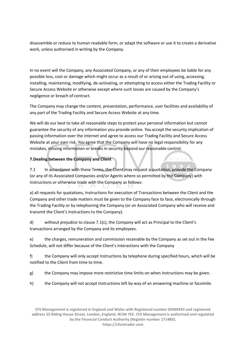disassemble or reduce to human readable form, or adapt the software or use it to create a derivative work, unless authorised in writing by the Company.

In no event will the Company, any Associated Company, or any of their employees be liable for any possible loss, cost or damage which might occur as a result of or arising out of using, accessing, installing, maintaining, modifying, de-activating, or attempting to access either the Trading Facility or Secure Access Website or otherwise except where such losses are caused by the Company's negligence or breach of contract.

The Company may change the content, presentation, performance, user facilities and availability of any part of the Trading Facility and Secure Access Website at any time.

We will do our best to take all reasonable steps to protect your personal information but cannot guarantee the security of any information you provide online. You accept the security implication of passing information over the internet and agree to access our Trading Facility and Secure Access Website at your own risk. You agree that the Company will have no legal responsibility for any mistakes, missing information or breaks in security beyond our reasonable control.

#### **7.Dealing between the Company and Client**

7.1 In accordance with these Terms, the Client may request a quotation, provide the Company (or any of its Associated Companies and/or Agents where so permitted by the Company) with Instructions or otherwise trade with the Company as follows:

a) all requests for quotations, Instructions for execution of Transactions between the Client and the Company and other trade matters must be given to the Company face to face, electronically through the Trading Facility or by telephoning the Company (or an Associated Company who will receive and transmit the Client's Instructions to the Company).

d) without prejudice to clause 7.1(c), the Company will act as Principal to the Client's transactions arranged by the Company and its employees.

e) the charges, remuneration and commission receivable by the Company as set out in the Fee Schedule, will not differ because of the Client's interactions with the Company

f) the Company will only accept Instructions by telephone during specified hours, which will be notified to the Client from time to time.

g) the Company may impose more restrictive time limits on when Instructions may be given.

h) the Company will not accept Instructions left by way of an answering machine or facsimile.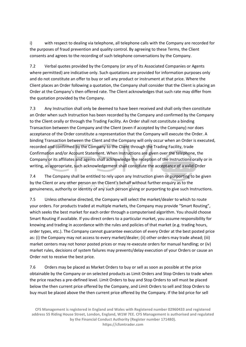i) with respect to dealing via telephone, all telephone calls with the Company are recorded for the purposes of fraud prevention and quality control. By agreeing to these Terms, the Client consents and agrees to the recording of such telephone conversations by the Company.

7.2 Verbal quotes provided by the Company (or any of its Associated Companies or Agents where permitted) are indicative only. Such quotations are provided for information purposes only and do not constitute an offer to buy or sell any product or instrument at that price. Where the Client places an Order following a quotation, the Company shall consider that the Client is placing an Order at the Company's then offered rate. The Client acknowledges that such rate may differ from the quotation provided by the Company.

7.3 Any Instruction shall only be deemed to have been received and shall only then constitute an Order when such Instruction has been recorded by the Company and confirmed by the Company to the Client orally or through the Trading Facility. An Order shall not constitute a binding Transaction between the Company and the Client (even if accepted by the Company) nor does acceptance of the Order constitute a representation that the Company will execute the Order. A binding Transaction between the Client and the Company will only occur when an Order is executed, recorded and confirmed by the Company to the Client through the Trading Facility, trade Confirmation and/or Account Statement. When Instructions are given over the telephone, the Company or its affiliates and agents shall acknowledge the reception of the Instructions orally or in writing, as appropriate, such acknowledgement shall constitute the acceptance of a valid Order

7.4 The Company shall be entitled to rely upon any Instruction given or purporting to be given by the Client or any other person on the Client's behalf without further enquiry as to the genuineness, authority or identity of any such person giving or purporting to give such Instructions.

7.5 Unless otherwise directed, the Company will select the market/dealer to which to route your orders. For products traded at multiple markets, the Company may provide "Smart Routing", which seeks the best market for each order through a computerised algorithm. You should choose Smart Routing if available. If you direct orders to a particular market, you assume responsibility for knowing and trading in accordance with the rules and policies of that market (e.g. trading hours, order types, etc.). The Company cannot guarantee execution of every Order at the best posted price as: (i) the Company may not access to every market/dealer; (ii) other orders may trade ahead; (iii) market centers may not honor posted prices or may re-execute orders for manual handling; or (iv) market rules, decisions of system failures may prevents/delay execution of your Orders or cause an Order not to receive the best price.

7.6 Orders may be placed as Market Orders to buy or sell as soon as possible at the price obtainable by the Company or on selected products as Limit Orders and Stop Orders to trade when the price reaches a pre-defined level. Limit Orders to buy and Stop Orders to sell must be placed below the then current price offered by the Company, and Limit Orders to sell and Stop Orders to buy must be placed above the then current price offered by the Company. If the bid price for sell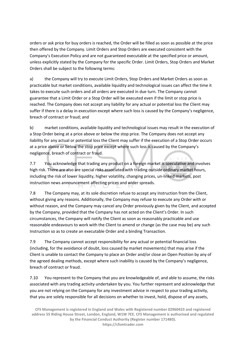orders or ask price for buy orders is reached, the Order will be filled as soon as possible at the price then offered by the Company. Limit Orders and Stop Orders are executed consistent with the Company's Execution Policy and are not guaranteed executable at the specified price or amount, unless explicitly stated by the Company for the specific Order. Limit Orders, Stop Orders and Market Orders shall be subject to the following terms:

a) the Company will try to execute Limit Orders, Stop Orders and Market Orders as soon as practicable but market conditions, available liquidity and technological issues can affect the time it takes to execute such orders and all orders are executed in due turn. The Company cannot guarantee that a Limit Order or a Stop Order will be executed even if the limit or stop price is reached. The Company does not accept any liability for any actual or potential loss the Client may suffer if there is a delay in execution except where such loss is caused by the Company's negligence, breach of contract or fraud; and

b) market conditions, available liquidity and technological issues may result in the execution of a Stop Order being at a price above or below the stop price. The Company does not accept any liability for any actual or potential loss the Client may suffer if the execution of a Stop Order occurs at a price above or below the stop price except where such loss is caused by the Company's negligence, breach of contract or fraud.

7.7 You acknowledge that trading any product on a foreign market is speculative and involves high risk. There are also are special risks associated with trading outside ordinary market hours, including the risk of lower liquidity, higher volatility, changing prices, un-linked markets, post instruction news announcement affecting prices and wider spreads.

7.8 The Company may, at its sole discretion refuse to accept any Instruction from the Client, without giving any reasons. Additionally, the Company may refuse to execute any Order with or without reason, and the Company may cancel any Order previously given by the Client, and accepted by the Company, provided that the Company has not acted on the Client's Order. In such circumstances, the Company will notify the Client as soon as reasonably practicable and use reasonable endeavours to work with the Client to amend or change (as the case may be) any such Instruction so as to create an executable Order and a binding Transaction.

7.9 The Company cannot accept responsibility for any actual or potential financial loss (including, for the avoidance of doubt, loss caused by market movements) that may arise if the Client is unable to contact the Company to place an Order and/or close an Open Position by any of the agreed dealing methods, except where such inability is caused by the Company's negligence, breach of contract or fraud.

7.10 You represent to the Company that you are knowledgeable of, and able to assume, the risks associated with any trading activity undertaken by you. You further represent and acknowledge that you are not relying on the Company for any investment advice in respect to your trading activity, that you are solely responsible for all decisions on whether to invest, hold, dispose of any assets,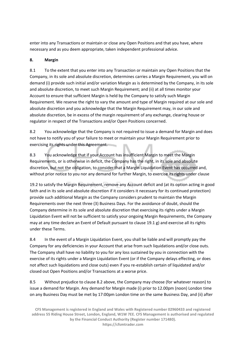enter into any Transactions or maintain or close any Open Positions and that you have, where necessary and as you deem appropriate, taken independent professional advice.

# **8. Margin**

8.1 To the extent that you enter into any Transaction or maintain any Open Positions that the Company, in its sole and absolute discretion, determines carries a Margin Requirement, you will on demand (i) provide such initial and/or variation Margin as is determined by the Company, in its sole and absolute discretion, to meet such Margin Requirement; and (ii) at all times monitor your Account to ensure that sufficient Margin is held by the Company to satisfy such Margin Requirement. We reserve the right to vary the amount and type of Margin required at our sole and absolute discretion and you acknowledge that the Margin Requirement may, in our sole and absolute discretion, be in excess of the margin requirement of any exchange, clearing house or regulator in respect of the Transactions and/or Open Positions concerned.

8.2 You acknowledge that the Company is not required to issue a demand for Margin and does not have to notify you of your failure to meet or maintain your Margin Requirement prior to exercising its rights under this Agreement.

8.3 You acknowledge that if your Account has insufficient Margin to meet the Margin Requirements, or is otherwise in deficit, the Company has the right, in its sole and absolute discretion, but not the obligation, to consider that a Margin Liquidation Event has occurred and, without prior notice to you nor any demand for further Margin, to exercise its rights under clause

19.2 to satisfy the Margin Requirement, remove any Account deficit and (at its option acting in good faith and in its sole and absolute discretion if it considers it necessary for its continued protection) provide such additional Margin as the Company considers prudent to maintain the Margin Requirements over the next three (3) Business Days. For the avoidance of doubt, should the Company determine in its sole and absolute discretion that exercising its rights under a Margin Liquidation Event will not be sufficient to satisfy your ongoing Margin Requirements, the Company may at any time declare an Event of Default pursuant to clause 19.1 g) and exercise all its rights under these Terms.

8.4 In the event of a Margin Liquidation Event, you shall be liable and will promptly pay the Company for any deficiencies in your Account that arise from such liquidations and/or close outs. The Company shall have no liability to you for any loss sustained by you in connection with the exercise of its rights under a Margin Liquidation Event (or if the Company delays effecting, or does not affect such liquidations and close outs) even if you re-establish certain of liquidated and/or closed out Open Positions and/or Transactions at a worse price.

8.5 Without prejudice to clause 8.2 above, the Company may choose (for whatever reason) to issue a demand for Margin. Any demand for Margin made (i) prior to 12.00pm (noon) London time on any Business Day must be met by 17:00pm London time on the same Business Day, and (ii) after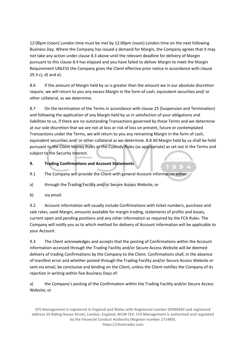12:00pm (noon) London time must be met by 12:00pm (noon) London time on the next following Business Day. Where the Company has issued a demand for Margin, the Company agrees that it may not take any action under clause 8.3 above until the relevant deadline for delivery of Margin pursuant to this clause 8.4 has elapsed and you have failed to deliver Margin to meet the Margin Requirement UNLESS the Company gives the Client effective prior notice in accordance with clause 29.3 c), d) and e).

8.6 If the amount of Margin held by us is greater than the amount we in our absolute discretion require, we will return to you any excess Margin in the form of cash, equivalent securities and/ or other collateral, as we determine.

8.7 On the termination of the Terms in accordance with clause 25 (Suspension and Termination) and following the application of any Margin held by us in satisfaction of your obligations and liabilities to us, if there are no outstanding Transactions governed by these Terms and we determine at our sole discretion that we are not at loss or risk of loss on present, future or contemplated Transactions under the Terms, we will return to you any remaining Margin in the form of cash, equivalent securities and/ or other collateral as we determine. 8.8 All Margin held by us shall be held pursuant to the Client Money Rules or the Custody Rules (as appropriate) as set out in the Terms and subject to the Security Interest.

# **9. Trading Confirmations and Account Statements**

- 9.1 The Company will provide the Client with general Account information either:
- a) through the Trading Facility and/or Secure Access Website; or
- b) via email.

9.2 Account information will usually include Confirmations with ticket numbers, purchase and sale rates, used Margin, amounts available for margin trading, statements of profits and losses, current open and pending positions and any other information as required by the FCA Rules. The Company will notify you as to which method for delivery of Account information will be applicable to your Account.

9.3 The Client acknowledges and accepts that the posting of Confirmations within the Account information accessed through the Trading Facility and/or Secure Access Website will be deemed delivery of trading Confirmations by the Company to the Client. Confirmations shall, in the absence of manifest error and whether posted through the Trading Facility and/or Secure Access Website or sent via email, be conclusive and binding on the Client, unless the Client notifies the Company of its rejection in writing within five Business Days of:

a) the Company's posting of the Confirmation within the Trading Facility and/or Secure Access Website; or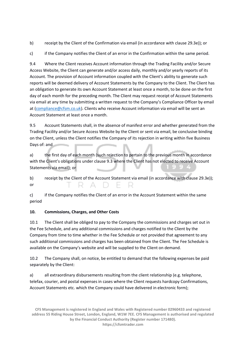b) receipt by the Client of the Confirmation via email (in accordance with clause 29.3e)); or

c) if the Company notifies the Client of an error in the Confirmation within the same period.

9.4 Where the Client receives Account information through the Trading Facility and/or Secure Access Website, the Client can generate and/or access daily, monthly and/or yearly reports of its Account. The provision of Account information coupled with the Client's ability to generate such reports will be deemed delivery of Account Statements by the Company to the Client. The Client has an obligation to generate its own Account Statement at least once a month, to be done on the first day of each month for the preceding month. The Client may request receipt of Account Statements via email at any time by submitting a written request to the Company's Compliance Officer by email at [\(compliance@cfsm.co.uk\)](mailto:compliance@cfsm.co.uk). Clients who receive Account information via email will be sent an Account Statement at least once a month.

9.5 Account Statements shall, in the absence of manifest error and whether generated from the Trading Facility and/or Secure Access Website by the Client or sent via email, be conclusive binding on the Client, unless the Client notifies the Company of its rejection in writing within five Business Days of: and

a) the first day of each month (such rejection to pertain to the previous month in accordance with the Client's obligations under clause 9.3 where the Client has not elected to receive Account Statements via email); or

b) receipt by the Client of the Account Statement via email (in accordance with clause 29.3e)); or

c) if the Company notifies the Client of an error in the Account Statement within the same period

# **10. Commissions, Charges, and Other Costs**

10.1 The Client shall be obliged to pay to the Company the commissions and charges set out in the Fee Schedule, and any additional commissions and charges notified to the Client by the Company from time to time whether in the Fee Schedule or not provided that agreement to any such additional commissions and charges has been obtained from the Client. The Fee Schedule is available on the Company's website and will be supplied to the Client on demand.

10.2 The Company shall, on notice, be entitled to demand that the following expenses be paid separately by the Client:

a) all extraordinary disbursements resulting from the client relationship (e.g. telephone, telefax, courier, and postal expenses in cases where the Client requests hardcopy Confirmations, Account Statements etc. which the Company could have delivered in electronic form);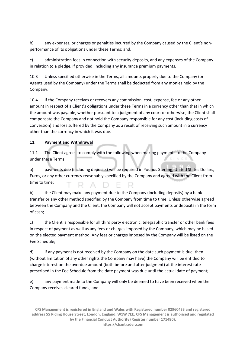b) any expenses, or charges or penalties incurred by the Company caused by the Client's nonperformance of its obligations under these Terms; and.

c) administration fees in connection with security deposits, and any expenses of the Company in relation to a pledge, if provided, including any insurance premium payments.

10.3 Unless specified otherwise in the Terms, all amounts properly due to the Company (or Agents used by the Company) under the Terms shall be deducted from any monies held by the Company.

10.4 If the Company receives or recovers any commission, cost, expense, fee or any other amount in respect of a Client's obligations under these Terms in a currency other than that in which the amount was payable, whether pursuant to a judgment of any court or otherwise, the Client shall compensate the Company and not hold the Company responsible for any cost (including costs of conversion) and loss suffered by the Company as a result of receiving such amount in a currency other than the currency in which it was due.

# **11. Payment and Withdrawal**

11.1 The Client agrees to comply with the following when making payments to the Company under these Terms:

a) payments due (including deposits) will be required in Pounds Sterling, United States Dollars, Euros, or any other currency reasonably specified by the Company and agreed with the Client from time to time; RADER

b) the Client may make any payment due to the Company (including deposits) by a bank transfer or any other method specified by the Company from time to time. Unless otherwise agreed between the Company and the Client, the Company will not accept payments or deposits in the form of cash;

c) the Client is responsible for all third party electronic, telegraphic transfer or other bank fees in respect of payment as well as any fees or charges imposed by the Company, which may be based on the elected payment method. Any fees or charges imposed by the Company will be listed on the Fee Schedule;.

d) if any payment is not received by the Company on the date such payment is due, then (without limitation of any other rights the Company may have) the Company will be entitled to charge interest on the overdue amount (both before and after judgment) at the interest rate prescribed in the Fee Schedule from the date payment was due until the actual date of payment;

e) any payment made to the Company will only be deemed to have been received when the Company receives cleared funds; and

**CFS Management is registered in England and Wales with Registered number 02960433 and registered address 55 Riding House Street, London, England, W1W 7EE. CFS Management is authorised and regulated by the Financial Conduct Authority (Register number 171480). https://cfsmtrader.com**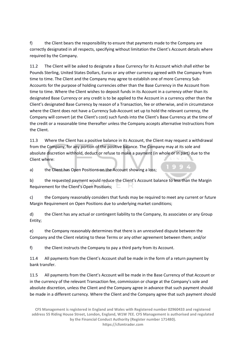f) the Client bears the responsibility to ensure that payments made to the Company are correctly designated in all respects, specifying without limitation the Client's Account details where required by the Company.

11.2 The Client will be asked to designate a Base Currency for its Account which shall either be Pounds Sterling, United States Dollars, Euros or any other currency agreed with the Company from time to time. The Client and the Company may agree to establish one of more Currency Sub-Accounts for the purpose of holding currencies other than the Base Currency in the Account from time to time. Where the Client wishes to deposit funds in its Account in a currency other than its designated Base Currency or any credit is to be applied to the Account in a currency other than the Client's designated Base Currency by reason of a Transaction, fee or otherwise, and in circumstance where the Client does not have a Currency Sub-Account set up to hold the relevant currency, the Company will convert (at the Client's cost) such funds into the Client's Base Currency at the time of the credit or a reasonable time thereafter unless the Company accepts alternative Instructions from the Client.

11.3 Where the Client has a positive balance in its Account, the Client may request a withdrawal from the Company, for any portion of the positive balance. The Company may at its sole and absolute discretion withhold, deduct or refuse to make a payment (in whole or in part) due to the Client where:

a) the Client has Open Positions on the Account showing a loss;

b) the requested payment would reduce the Client's Account balance to less than the Margin Requirement for the Client's Open Positions;  $\square$ 

c) the Company reasonably considers that funds may be required to meet any current or future Margin Requirement on Open Positions due to underlying market conditions;

d) the Client has any actual or contingent liability to the Company, its associates or any Group Entity;

e) the Company reasonably determines that there is an unresolved dispute between the Company and the Client relating to these Terms or any other agreement between them; and/or

f) the Client instructs the Company to pay a third party from its Account.

11.4 All payments from the Client's Account shall be made in the form of a return payment by bank transfer.

11.5 All payments from the Client's Account will be made in the Base Currency of that Account or in the currency of the relevant Transaction fee, commission or charge at the Company's sole and absolute discretion, unless the Client and the Company agree in advance that such payment should be made in a different currency. Where the Client and the Company agree that such payment should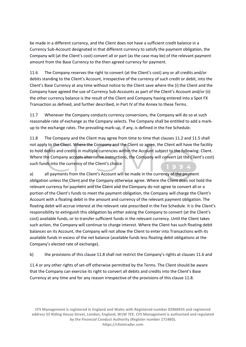be made in a different currency, and the Client does not have a sufficient credit balance in a Currency Sub-Account designated in that different currency to satisfy the payment obligation, the Company will (at the Client's cost) convert all or part (as the case may be) of the relevant payment amount from the Base Currency to the then agreed currency for payment.

11.6 The Company reserves the right to convert (at the Client's cost) any or all credits and/or debits standing to the Client's Account, irrespective of the currency of such credit or debit, into the Client's Base Currency at any time without notice to the Client save where the (i) the Client and the Company have agreed the use of Currency Sub-Accounts as part of the Client's Account and/or (ii) the other currency balance is the result of the Client and Company having entered into a Spot FX Transaction as defined, and further described, in Part IV of the Annex to these Terms.

11.7 Whenever the Company conducts currency conversions, the Company will do so at such reasonable rate of exchange as the Company selects. The Company shall be entitled to add a markup to the exchange rates. The prevailing mark-up, if any, is defined in the Fee Schedule.

11.8 The Company and the Client may agree from time to time that clauses 11.2 and 11.5 shall not apply to the Client. Where the Company and the Client so agree, the Client will have the facility to hold debits and credits in multiple currencies within the Account subject to the following: Client. Where the Company accepts alternative instructions, the Company will convert (at the Client's cost) such funds into the currency of the Client's choice

a) all payments from the Client's Account will be made in the currency of the payment obligation unless the Client and the Company otherwise agree. Where the Client does not hold the relevant currency for payment and the Client and the Company do not agree to convert all or a portion of the Client's funds to meet the payment obligation, the Company will charge the Client's Account with a floating debit in the amount and currency of the relevant payment obligation. The floating debit will accrue interest at the relevant rate prescribed in the Fee Schedule. It is the Client's responsibility to extinguish this obligation by either asking the Company to convert (at the Client's cost) available funds, or to transfer sufficient funds in the relevant currency. Until the Client takes such action, the Company will continue to charge interest. Where the Client has such floating debit balances on its Account, the Company will not allow the Client to enter into Transactions with its available funds in excess of the net balance (available funds less floating debit obligations at the Company's elected rate of exchange).

b) the provisions of this clause 11.8 shall not restrict the Company's rights at clauses 11.6 and

11.4 or any other rights of set-off otherwise permitted by the Terms. The Client should be aware that the Company can exercise its right to convert all debits and credits into the Client's Base Currency at any time and for any reason irrespective of the provisions of this clause 11.8.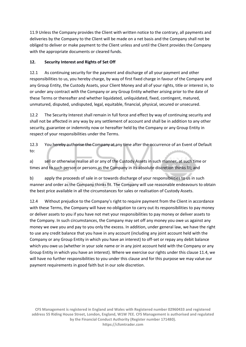11.9 Unless the Company provides the Client with written notice to the contrary, all payments and deliveries by the Company to the Client will be made on a net basis and the Company shall not be obliged to deliver or make payment to the Client unless and until the Client provides the Company with the appropriate documents or cleared funds.

# **12. Security Interest and Rights of Set Off**

12.1 As continuing security for the payment and discharge of all your payment and other responsibilities to us, you hereby charge, by way of first fixed charge in favour of the Company and any Group Entity, the Custody Assets, your Client Money and all of your rights, title or interest in, to or under any contract with the Company or any Group Entity whether arising prior to the date of these Terms or thereafter and whether liquidated, unliquidated, fixed, contingent, matured, unmatured, disputed, undisputed, legal, equitable, financial, physical, secured or unsecured.

12.2 The Security Interest shall remain in full force and effect by way of continuing security and shall not be affected in any way by any settlement of account and shall be in addition to any other security, guarantee or indemnity now or hereafter held by the Company or any Group Entity in respect of your responsibilities under the Terms.

12.3 You hereby authorise the Company at any time after the occurrence of an Event of Default to:

a) sell or otherwise realise all or any of the Custody Assets in such manner, at such time or times and to such person or persons as the Company in its absolute discretion thinks fit; and

b) apply the proceeds of sale in or towards discharge of your responsibilities to us in such manner and order as the Company thinks fit. The Company will use reasonable endeavours to obtain the best price available in all the circumstances for sales or realisation of Custody Assets.

12.4 Without prejudice to the Company's right to require payment from the Client in accordance with these Terms, the Company will have no obligation to carry out its responsibilities to pay money or deliver assets to you if you have not met your responsibilities to pay money or deliver assets to the Company. In such circumstances, the Company may set off any money you owe us against any money we owe you and pay to you only the excess. In addition, under general law, we have the right to use any credit balance that you have in any account (including any joint account held with the Company or any Group Entity in which you have an interest) to off-set or repay any debit balance which you owe us (whether in your sole name or in any joint account held with the Company or any Group Entity in which you have an interest). Where we exercise our rights under this clause 11.4, we will have no further responsibilities to you under this clause and for this purpose we may value our payment requirements in good faith but in our sole discretion.

**CFS Management is registered in England and Wales with Registered number 02960433 and registered address 55 Riding House Street, London, England, W1W 7EE. CFS Management is authorised and regulated by the Financial Conduct Authority (Register number 171480). https://cfsmtrader.com**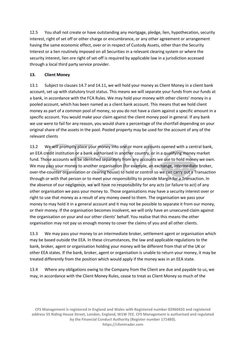12.5 You shall not create or have outstanding any mortgage, pledge, lien, hypothecation, security interest, right of set off or other charge or encumbrance, or any other agreement or arrangement having the same economic effect, over or in respect of Custody Assets, other than the Security Interest or a lien routinely imposed on all Securities in a relevant clearing system or where the security interest, lien ore right of set-off is required by applicable law in a jurisdiction accessed through a local third party service provider.

#### **13. Client Money**

13.1 Subject to clauses 14.7 and 14.11, we will hold your money as Client Money in a client bank account, set up with statutory trust status. This means we will separate your funds from our funds at a bank, in accordance with the FCA Rules. We may hold your money with other clients' money in a pooled account, which has been named as a client bank account. This means that we hold client money as part of a common pool of money, so you do not have a claim against a specific amount in a specific account. You would make your claim against the client money pool in general. If any bank we use were to fail for any reason, you would share a percentage of the shortfall depending on your original share of the assets in the pool. Pooled property may be used for the account of any of the relevant clients

13.2 We will promptly place your money into one or more accounts opened with a central bank, an EEA credit institution or a bank authorised in another country, or in a qualifying money market fund. Those accounts will be identified separately from any accounts we use to hold money we own. We may pass your money to another organisation (for example, an exchange, intermediate broker, over-the-counter organisation or clearing house) to hold or control so we can carry out a Transaction through or with that person or to meet your responsibility to provide Margin for a Transaction. In the absence of our negligence, we will have no responsibility for any acts (or failure to act) of any other organisation we pass your money to. Those organisations may have a security interest over or right to use that money as a result of any money owed to them. The organisation we pass your money to may hold it in a general account and it may not be possible to separate it from our money, or their money. If the organisation becomes insolvent, we will only have an unsecured claim against the organisation on your and our other clients' behalf. You realise that this means the other organisation may not pay us enough money to cover the claims of you and all other clients.

13.3 We may pass your money to an intermediate broker, settlement agent or organisation which may be based outside the EEA. In these circumstances, the law and applicable regulations to the bank, broker, agent or organisation holding your money will be different from that of the UK or other EEA states. If the bank, broker, agent or organisation is unable to return your money, it may be treated differently from the position which would apply if the money was in an EEA state.

13.4 Where any obligations owing to the Company from the Client are due and payable to us, we may, in accordance with the Client Money Rules, cease to treat as Client Money so much of the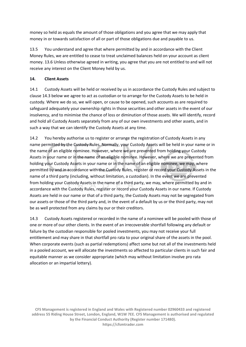money so held as equals the amount of those obligations and you agree that we may apply that money in or towards satisfaction of all or part of those obligations due and payable to us.

13.5 You understand and agree that where permitted by and in accordance with the Client Money Rules, we are entitled to cease to treat unclaimed balances held on your account as client money. 13.6 Unless otherwise agreed in writing, you agree that you are not entitled to and will not receive any interest on the Client Money held by us.

#### **14. Client Assets**

14.1 Custody Assets will be held or received by us in accordance the Custody Rules and subject to clause 14.3 below we agree to act as custodian or to arrange for the Custody Assets to be held in custody. Where we do so, we will open, or cause to be opened, such accounts as are required to safeguard adequately your ownership rights in those securities and other assets in the event of our insolvency, and to minimise the chance of loss or diminution of those assets. We will identify, record and hold all Custody Assets separately from any of our own investments and other assets, and in such a way that we can identify the Custody Assets at any time.

14.2 You hereby authorise us to register or arrange the registration of Custody Assets in any name permitted by the Custody Rules. Normally, your Custody Assets will be held in your name or in the name of an eligible nominee. However, where we are prevented from holding your Custody Assets in your name or in the name of an eligible nominee. However, where we are prevented from holding your Custody Assets in your name or in the name of an eligible nominee, we may, where permitted by and in accordance with the Custody Rules, register or record your Custody Assets in the name of a third party (including, without limitation, a custodian). In the event we are prevented from holding your Custody Assets in the name of a third party, we may, where permitted by and in accordance with the Custody Rules, register or record your Custody Assets in our name. If Custody Assets are held in our name or that of a third party, the Custody Assets may not be segregated from our assets or those of the third party and, in the event of a default by us or the third party, may not be as well protected from any claims by our or their creditors.

14.3 Custody Assets registered or recorded in the name of a nominee will be pooled with those of one or more of our other clients. In the event of an irrecoverable shortfall following any default or failure by the custodian responsible for pooled investments, you may not receive your full entitlement and may share in that shortfall pro rata to your original share of the assets in the pool. When corporate events (such as partial redemptions) affect some but not all of the investments held in a pooled account, we will allocate the investments so affected to particular clients in such fair and equitable manner as we consider appropriate (which may without limitation involve pro rata allocation or an impartial lottery).

**CFS Management is registered in England and Wales with Registered number 02960433 and registered address 55 Riding House Street, London, England, W1W 7EE. CFS Management is authorised and regulated by the Financial Conduct Authority (Register number 171480). https://cfsmtrader.com**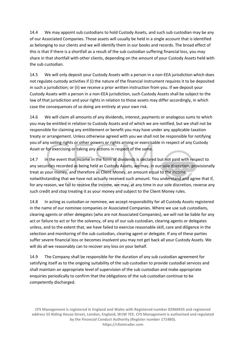14.4 We may appoint sub custodians to hold Custody Assets, and such sub custodian may be any of our Associated Companies. Those assets will usually be held in a single account that is identified as belonging to our clients and we will identify them in our books and records. The broad effect of this is that if there is a shortfall as a result of the sub custodian suffering financial loss, you may share in that shortfall with other clients, depending on the amount of your Custody Assets held with the sub custodian.

14.5 We will only deposit your Custody Assets with a person in a non-EEA jurisdiction which does not regulate custody activities if (i) the nature of the financial instrument requires it to be deposited in such a jurisdiction; or (ii) we receive a prior written instruction from you. If we deposit your Custody Assets with a person in a non-EEA jurisdiction, such Custody Assets shall be subject to the law of that jurisdiction and your rights in relation to those assets may differ accordingly, in which case the consequences of so doing are entirely at your own risk.

14.6 We will claim all amounts of any dividends, interest, payments or analogous sums to which you may be entitled in relation to Custody Assets and of which we are notified, but we shall not be responsible for claiming any entitlement or benefit you may have under any applicable taxation treaty or arrangement. Unless otherwise agreed with you we shall not be responsible for notifying you of any voting rights or other powers or rights arising or exercisable in respect of any Custody Asset or for exercising or taking any actions in respect of the same.

14.7 In the event that income in the form of dividends is declared but not paid with respect to any securities recorded as being held as Custody Assets, we may, in our sole discretion, provisionally treat as your money, and therefore as Client Money, an amount equal to the income notwithstanding that we have not actually received such amount. You understand and agree that if, for any reason, we fail to receive the income, we may, at any time in our sole discretion, reverse any such credit and stop treating it as your money and subject to the Client Money rules.

14.8 In acting as custodian or nominee, we accept responsibility for all Custody Assets registered in the name of our nominee companies or Associated Companies. Where we use sub custodians, clearing agents or other delegates (who are not Associated Companies), we will not be liable for any act or failure to act or for the solvency, of any of our sub custodian, clearing agents or delegates unless, and to the extent that, we have failed to exercise reasonable skill, care and diligence in the selection and monitoring of the sub custodian, clearing agent or delegate. If any of these parties suffer severe financial loss or becomes insolvent you may not get back all your Custody Assets. We will do all we reasonably can to recover any loss on your behalf.

14.9 The Company shall be responsible for the duration of any sub custodian agreement for satisfying itself as to the ongoing suitability of the sub custodian to provide custodial services and shall maintain an appropriate level of supervision of the sub custodian and make appropriate enquiries periodically to confirm that the obligations of the sub custodian continue to be competently discharged.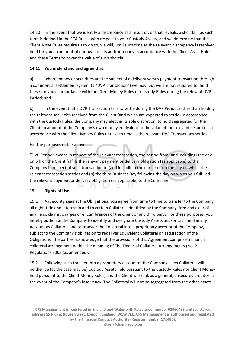14.10 In the event that we identify a discrepancy as a result of, or that reveals, a shortfall (as such term is defined in the FCA Rules) with respect to your Custody Assets, and we determine that the Client Asset Rules require us to do so, we will, until such time as the relevant discrepancy is resolved, hold for you an amount of our own assets and/or money in accordance with the Client Asset Rules and these Terms to cover the value of such shortfall.

# **14.11 You understand and agree that:**

a) where money or securities are the subject of a delivery versus payment transaction through a commercial settlement system (a "DVP Transaction") we may, but we are not required to, hold these for you in accordance with the Client Money Rules or Custody Rules during the relevant DVP Period; and

b) in the event that a DVP Transaction fails to settle during the DVP Period, rather than holding the relevant securities received from the Client (and which are expected to settle) in accordance with the Custody Rules, the Company may elect in its sole discretion, to hold segregated for the Client an amount of the Company's own money equivalent to the value of the relevant securities in accordance with the Client Money Rules until such time as the relevant DVP Transactions settles.

# For the purposes of the above:

"DVP Period" means in respect of the relevant transaction, the period from (and including) the day on which the Client fulfills the relevant payment or delivery obligation (as applicable) to the Company in respect of such transaction to (and including) the earlier of (a) the day on which the relevant transaction settles and (b) the third Business Day following the day on which you fulfilled the relevant payment or delivery obligation (as applicable) to the Company.

# **15. Rights of Use**

15.1 As security against the Obligations, you agree from time to time to transfer to the Company all right, title and interest in and to certain Collateral identified by the Company, free and clear of any liens, claims, charges or encumbrances of the Client or any third party. For these purposes, you hereby authorise the Company to identify and designate Custody Assets and/or cash held in any Account as Collateral and to transfer the Collateral into a proprietary account of the Company, subject to the Company's obligation to redeliver Equivalent Collateral on satisfaction of the Obligations. The parties acknowledge that the provisions of this Agreement comprise a financial collateral arrangement within the meaning of The Financial Collateral Arrangements (No. 2) Regulations 2003 (as amended).

15.2 Following such transfer into a proprietary account of the Company, such Collateral will neither be (as the case may be) Custody Assets held pursuant to the Custody Rules nor Client Money held pursuant to the Client Money Rules, and the Client will rank as a general, unsecured creditor in the event of the Company's insolvency. The Collateral will not be segregated from the other assets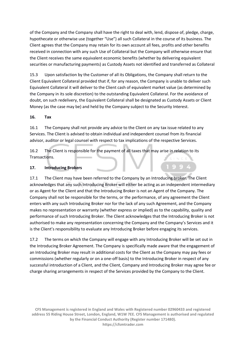of the Company and the Company shall have the right to deal with, lend, dispose of, pledge, charge, hypothecate or otherwise use (together "Use") all such Collateral in the course of its business. The Client agrees that the Company may retain for its own account all fees, profits and other benefits received in connection with any such Use of Collateral but the Company will otherwise ensure that the Client receives the same equivalent economic benefits (whether by delivering equivalent securities or manufacturing payments) as Custody Assets not identified and transferred as Collateral

15.3 Upon satisfaction by the Customer of all its Obligations, the Company shall return to the Client Equivalent Collateral provided that if, for any reason, the Company is unable to deliver such Equivalent Collateral it will deliver to the Client cash of equivalent market value (as determined by the Company in its sole discretion) to the outstanding Equivalent Collateral. For the avoidance of doubt, on such redelivery, the Equivalent Collateral shall be designated as Custody Assets or Client Money (as the case may be) and held by the Company subject to the Security Interest.

#### **16. Tax**

16.1 The Company shall not provide any advice to the Client on any tax issue related to any Services. The Client is advised to obtain individual and independent counsel from its financial advisor, auditor or legal counsel with respect to tax implications of the respective Services.

16.2 The Client is responsible for the payment of all taxes that may arise in relation to its Transactions.

#### **17. Introducing Brokers**

17.1 The Client may have been referred to the Company by an Introducing broker. The Client acknowledges that any such Introducing Broker will either be acting as an independent intermediary or as Agent for the Client and that the Introducing Broker is not an Agent of the Company. The Company shall not be responsible for the terms, or the performance, of any agreement the Client enters with any such Introducing Broker nor for the lack of any such Agreement, and the Company makes no representation or warranty (whether express or implied) as to the capability, quality and performance of such Introducing Broker. The Client acknowledges that the Introducing Broker is not authorised to make any representation concerning the Company and the Company's Services and it is the Client's responsibility to evaluate any Introducing Broker before engaging its services.

17.2 The terms on which the Company will engage with any Introducing Broker will be set out in the Introducing Broker Agreement. The Company is specifically made aware that the engagement of an Introducing Broker may result in additional costs for the Client as the Company may pay fees or commissions (whether regularly or on a one-off basis) to the Introducing Broker in respect of any successful introduction of a Client, and the Client, Company and Introducing Broker may agree fee or charge sharing arrangements in respect of the Services provided by the Company to the Client.

**CFS Management is registered in England and Wales with Registered number 02960433 and registered address 55 Riding House Street, London, England, W1W 7EE. CFS Management is authorised and regulated by the Financial Conduct Authority (Register number 171480). https://cfsmtrader.com**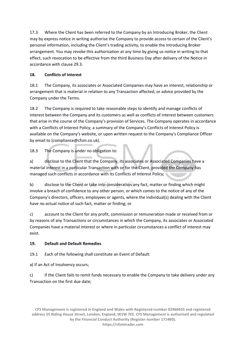17.3 Where the Client has been referred to the Company by an Introducing Broker, the Client may by express notice in writing authorise the Company to provide access to certain of the Client's personal information, including the Client's trading activity, to enable the Introducing Broker arrangement. You may revoke this authorisation at any time by giving us notice in writing to that effect, such revocation to be effective from the third Business Day after delivery of the Notice in accordance with clause 29.3.

# **18. Conflicts of Interest**

18.1 The Company, its associates or Associated Companies may have an interest, relationship or arrangement that is material in relation to any Transaction affected, or advice provided by the Company under the Terms.

18.2 The Company is required to take reasonable steps to identify and manage conflicts of interest between the Company and its customers as well as conflicts of interest between customers that arise in the course of the Company's provision of Services. The Company operates in accordance with a Conflicts of Interest Policy; a summary of the Company's Conflicts of Interest Policy is available on the Company's website, or upon written request to the Company's Compliance Officer by email to (compliance@cfsm.co.uk).

18.3 The Company is under no obligation to:

a) disclose to the Client that the Company, its associates or Associated Companies have a material interest in a particular Transaction with or for the Client, provided the Company has managed such conflicts in accordance with its Conflicts of Interest Policy;

b) disclose to the Client or take into consideration any fact, matter or finding which might involve a breach of confidence to any other person, or which comes to the notice of any of the Company's directors, officers, employees or agents, where the individual(s) dealing with the Client have no actual notice of such fact, matter or finding; or

c) account to the Client for any profit, commission or remuneration made or received from or by reasons of any Transactions or circumstances in which the Company, its associates or Associated Companies have a material interest or where in particular circumstances a conflict of interest may exist.

# **19. Default and Default Remedies**

19.1 Each of the following shall constitute an Event of Default:

a) If an Act of Insolvency occurs;

c) if the Client fails to remit funds necessary to enable the Company to take delivery under any Transaction on the first due date;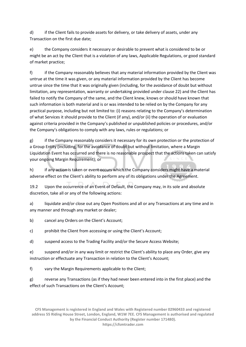d) if the Client fails to provide assets for delivery, or take delivery of assets, under any Transaction on the first due date;

e) the Company considers it necessary or desirable to prevent what is considered to be or might be an act by the Client that is a violation of any laws, Applicable Regulations, or good standard of market practice;

f) if the Company reasonably believes that any material information provided by the Client was untrue at the time it was given, or any material information provided by the Client has become untrue since the time that it was originally given (including, for the avoidance of doubt but without limitation, any representation, warranty or undertaking provided under clause 22) and the Client has failed to notify the Company of the same, and the Client knew, knows or should have known that such information is both material and is or was intended to be relied on by the Company for any practical purpose, including but not limited to: (i) reasons relating to the Company's determination of what Services it should provide to the Client (if any), and/or (ii) the operation of or evaluation against criteria provided in the Company's published or unpublished policies or procedures, and/or the Company's obligations to comply with any laws, rules or regulations; or

g) if the Company reasonably considers it necessary for its own protection or the protection of a Group Entity (including, for the avoidance of doubt but without limitation, where a Margin Liquidation Event has occurred and there is no reasonable prospect that the actions taken can satisfy your ongoing Margin Requirement); or

h) if any action is taken or event occurs which the Company considers might have a material adverse effect on the Client's ability to perform any of its obligations under the Agreement.

19.2 Upon the occurrence of an Event of Default, the Company may, in its sole and absolute discretion, take all or any of the following actions:

a) liquidate and/or close out any Open Positions and all or any Transactions at any time and in any manner and through any market or dealer;

b) cancel any Orders on the Client's Account;

c) prohibit the Client from accessing or using the Client's Account;

d) suspend access to the Trading Facility and/or the Secure Access Website;

e) suspend and/or in any way limit or restrict the Client's ability to place any Order, give any instruction or effectuate any Transaction in relation to the Client's Account;

f) vary the Margin Requirements applicable to the Client;

g) reverse any Transactions (as if they had never been entered into in the first place) and the effect of such Transactions on the Client's Account;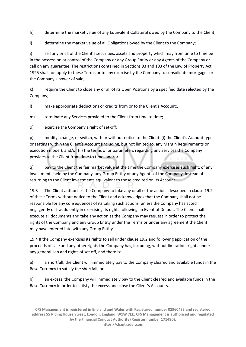h) determine the market value of any Equivalent Collateral owed by the Company to the Client;

i) determine the market value of all Obligations owed by the Client to the Company;

j) sell any or all of the Client's securities, assets and property which may from time to time be in the possession or control of the Company or any Group Entity or any Agents of the Company or call on any guarantee. The restrictions contained in Sections 93 and 103 of the Law of Property Act 1925 shall not apply to these Terms or to any exercise by the Company to consolidate mortgages or the Company's power of sale;

k) require the Client to close any or all of its Open Positions by a specified date selected by the Company;

l) make appropriate deductions or credits from or to the Client's Account;.

m) terminate any Services provided to the Client from time to time;

o) exercise the Company's right of set-off;

p) modify, change, or switch, with or without notice to the Client: (i) the Client's Account type or settings within the Client's Account (including, but not limited to, any Margin Requirements or execution model); and/or (ii) the terms of or parameters regarding any Services the Company provides to the Client from time to time; and/or

q) pay to the Client the fair market value at the time the Company exercises such right, of any investments held by the Company, any Group Entity or any Agents of the Company, instead of returning to the Client investments equivalent to those credited on its Account.

19.3 The Client authorises the Company to take any or all of the actions described in clause 19.2 of these Terms without notice to the Client and acknowledges that the Company shall not be responsible for any consequences of its taking such actions, unless the Company has acted negligently or fraudulently in exercising its rights following an Event of Default. The Client shall execute all documents and take any action as the Company may request in order to protect the rights of the Company and any Group Entity under the Terms or under any agreement the Client may have entered into with any Group Entity.

19.4 If the Company exercises its rights to sell under clause 19.2 and following application of the proceeds of sale and any other rights the Company has, including, without limitation, rights under any general lien and rights of set off, and there is:

a) a shortfall, the Client will immediately pay to the Company cleared and available funds in the Base Currency to satisfy the shortfall; or

b) an excess, the Company will immediately pay to the Client cleared and available funds in the Base Currency in order to satisfy the excess and close the Client's Accounts.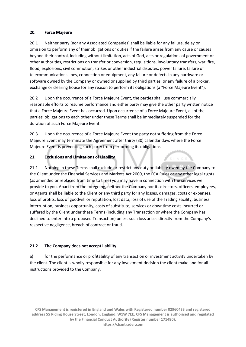#### **20. Force Majeure**

20.1 Neither party (nor any Associated Companies) shall be liable for any failure, delay or omission to perform any of their obligations or duties if the failure arises from any cause or causes beyond their control, including without limitation, acts of God, acts or regulations of government or other authorities, restrictions on transfer or conversion, requisitions, involuntary transfers, war, fire, flood, explosions, civil commotion, strikes or other industrial disputes, power failure, failure of telecommunications lines, connection or equipment, any failure or defects in any hardware or software owned by the Company or owned or supplied by third parties, or any failure of a broker, exchange or clearing house for any reason to perform its obligations (a "Force Majeure Event").

20.2 Upon the occurrence of a Force Majeure Event, the parties shall use commercially reasonable efforts to resume performance and either party may give the other party written notice that a Force Majeure Event has occurred. Upon occurrence of a Force Majeure Event, all of the parties' obligations to each other under these Terms shall be immediately suspended for the duration of such Force Majeure Event.

20.3 Upon the occurrence of a Force Majeure Event the party not suffering from the Force Majeure Event may terminate the Agreement after thirty (30) calendar days where the Force Majeure Event is preventing such party from performing its obligations

#### **21. Exclusions and Limitations of Liability**

21.1 Nothing in these Terms shall exclude or restrict any duty or liability owed by the Company to the Client under the Financial Services and Markets Act 2000, the FCA Rules or any other legal rights (as amended or replaced from time to time) you may have in connection with the services we provide to you. Apart from the foregoing, neither the Company nor its directors, officers, employees, or Agents shall be liable to the Client or any third party for any losses, damages, costs or expenses, loss of profits, loss of goodwill or reputation, lost data, loss of use of the Trading Facility, business interruption, business opportunity, costs of substitute, services or downtime costs incurred or suffered by the Client under these Terms (including any Transaction or where the Company has declined to enter into a proposed Transaction) unless such loss arises directly from the Company's respective negligence, breach of contract or fraud.

# **21.2 The Company does not accept liability:**

a) for the performance or profitability of any transaction or investment activity undertaken by the client. The client is wholly responsible for any investment decision the client make and for all instructions provided to the Company.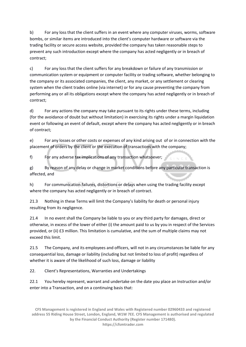b) For any loss that the client suffers in an event where any computer viruses, worms, software bombs, or similar items are introduced into the client's computer hardware or software via the trading facility or secure access website, provided the company has taken reasonable steps to prevent any such introduction except where the company has acted negligently or in breach of contract;

c) For any loss that the client suffers for any breakdown or failure of any transmission or communication system or equipment or computer facility or trading software, whether belonging to the company or its associated companies, the client, any market, or any settlement or clearing system when the client trades online (via internet) or for any cause preventing the company from performing any or all its obligations except where the company has acted negligently or in breach of contract;

d) For any actions the company may take pursuant to its rights under these terms, including (for the avoidance of doubt but without limitation) in exercising its rights under a margin liquidation event or following an event of default, except where the company has acted negligently or in breach of contract;

e) For any losses or other costs or expenses of any kind arising out of or in connection with the placement of orders by the client or the execution of transactions with the company;

f) For any adverse tax implications of any transaction whatsoever;

g) By reason of any delay or change in market conditions before any particular transaction is affected, and

h) For communication failures, distortions or delays when using the trading facility except where the company has acted negligently or in breach of contract.

21.3 Nothing in these Terms will limit the Company's liability for death or personal injury resulting from its negligence.

21.4 In no event shall the Company be liable to you or any third party for damages, direct or otherwise, in excess of the lower of either (i) the amount paid to us by you in respect of the Services provided, or (ii) £3 million. This limitation is cumulative, and the sum of multiple claims may not exceed this limit.

21.5 The Company, and its employees and officers, will not in any circumstances be liable for any consequential loss, damage or liability (including but not limited to loss of profit) regardless of whether it is aware of the likelihood of such loss, damage or liability

22. Client's Representations, Warranties and Undertakings

22.1 You hereby represent, warrant and undertake on the date you place an Instruction and/or enter into a Transaction, and on a continuing basis that: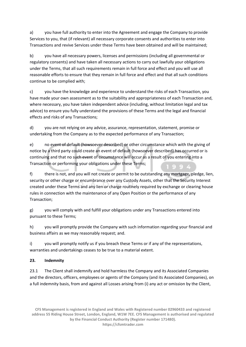a) you have full authority to enter into the Agreement and engage the Company to provide Services to you, that (if relevant) all necessary corporate consents and authorities to enter into Transactions and revive Services under these Terms have been obtained and will be maintained;

b) you have all necessary powers, licenses and permissions (including all governmental or regulatory consents) and have taken all necessary actions to carry out lawfully your obligations under the Terms, that all such requirements remain in full force and effect and you will use all reasonable efforts to ensure that they remain in full force and effect and that all such conditions continue to be complied with;

c) you have the knowledge and experience to understand the risks of each Transaction, you have made your own assessment as to the suitability and appropriateness of each Transaction and, where necessary, you have taken independent advice (including, without limitation legal and tax advice) to ensure you fully understand the provisions of these Terms and the legal and financial effects and risks of any Transactions;

d) you are not relying on any advice, assurance, representation, statement, promise or undertaking from the Company as to the expected performance of any Transaction;

e) no event of default (howsoever described) or other circumstance which with the giving of notice by a third party could create an event of default (howsoever described) has occurred or is continuing and that no such event of circumstance will occur as a result of you entering into a Transaction or performing your obligations under these Terms;

f) there is not, and you will not create or permit to be outstanding any mortgage, pledge, lien, security or other charge or encumbrance over any Custody Assets, other that the Security Interest created under these Terms and any lien or charge routinely required by exchange or clearing house rules in connection with the maintenance of any Open Position or the performance of any Transaction;

g) you will comply with and fulfill your obligations under any Transactions entered into pursuant to these Terms;

h) you will promptly provide the Company with such information regarding your financial and business affairs as we may reasonably request; and.

i) you will promptly notify us if you breach these Terms or if any of the representations, warranties and undertakings ceases to be true to a material extent.

# **23. Indemnity**

23.1 The Client shall indemnify and hold harmless the Company and its Associated Companies and the directors, officers, employees or agents of the Company (and its Associated Companies), on a full indemnity basis, from and against all Losses arising from (i) any act or omission by the Client,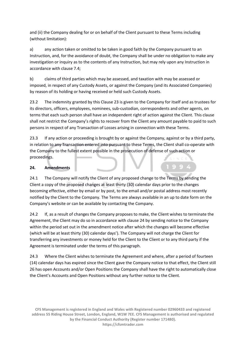and (ii) the Company dealing for or on behalf of the Client pursuant to these Terms including (without limitation):

a) any action taken or omitted to be taken in good faith by the Company pursuant to an Instruction, and, for the avoidance of doubt, the Company shall be under no obligation to make any investigation or inquiry as to the contents of any Instruction, but may rely upon any Instruction in accordance with clause 7.4;

b) claims of third parties which may be assessed, and taxation with may be assessed or imposed, in respect of any Custody Assets, or against the Company (and its Associated Companies) by reason of its holding or having received or held such Custody Assets.

23.2 The indemnity granted by this Clause 23 is given to the Company for itself and as trustees for its directors, officers, employees, nominees, sub-custodian, correspondents and other agents, on terms that each such person shall have an independent right of action against the Client. This clause shall not restrict the Company's rights to recover from the Client any amount payable to paid to such persons in respect of any Transaction of Losses arising in connection with these Terms.

23.3 If any action or proceeding is brought by or against the Company, against or by a third party, in relation to any Transaction entered into pursuant to these Terms, the Client shall co-operate with the Company to the fullest extent possible in the prosecution of defense of such action or proceedings.

# **24. Amendments**

24.1 The Company will notify the Client of any proposed change to the Terms by sending the Client a copy of the proposed changes at least thirty (30) calendar days prior to the changes becoming effective, either by email or by post, to the email and/or postal address most recently notified by the Client to the Company. The Terms are always available in an up to date form on the Company's website or can be available by contacting the Company.

24.2 If, as a result of changes the Company proposes to make, the Client wishes to terminate the Agreement, the Client may do so in accordance with clause 24 by sending notice to the Company within the period set out in the amendment notice after which the changes will become effective (which will be at least thirty (30) calendar days'). The Company will not charge the Client for transferring any investments or money held for the Client to the Client or to any third party if the Agreement is terminated under the terms of this paragraph.

24.3 Where the Client wishes to terminate the Agreement and where, after a period of fourteen (14) calendar days has expired since the Client gave the Company notice to that effect, the Client still 26 has open Accounts and/or Open Positions the Company shall have the right to automatically close the Client's Accounts and Open Positions without any further notice to the Client.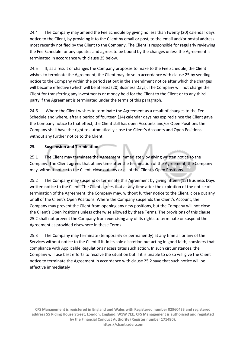24.4 The Company may amend the Fee Schedule by giving no less than twenty (20) calendar days' notice to the Client, by providing it to the Client by email or post, to the email and/or postal address most recently notified by the Client to the Company. The Client is responsible for regularly reviewing the Fee Schedule for any updates and agrees to be bound by the changes unless the Agreement is terminated in accordance with clause 25 below.

24.5 If, as a result of changes the Company proposes to make to the Fee Schedule, the Client wishes to terminate the Agreement, the Client may do so in accordance with clause 25 by sending notice to the Company within the period set out in the amendment notice after which the changes will become effective (which will be at least (20) Business Days). The Company will not charge the Client for transferring any investments or money held for the Client to the Client or to any third party if the Agreement is terminated under the terms of this paragraph.

24.6 Where the Client wishes to terminate the Agreement as a result of changes to the Fee Schedule and where, after a period of fourteen (14) calendar days has expired since the Client gave the Company notice to that effect, the Client still has open Accounts and/or Open Positions the Company shall have the right to automatically close the Client's Accounts and Open Positions without any further notice to the Client.

# **25. Suspension and Termination.**

25.1 The Client may terminate the Agreement immediately by giving written notice to the Company. The Client agrees that at any time after the termination of the Agreement, the Company may, without notice to the Client, close out any or all of the Client's Open Positions.

25.2 The Company may suspend or terminate this Agreement by giving fifteen (15) Business Days written notice to the Client. The Client agrees that at any time after the expiration of the notice of termination of the Agreement, the Company may, without further notice to the Client, close out any or all of the Client's Open Positions. Where the Company suspends the Client's Account, the Company may prevent the Client from opening any new positions, but the Company will not close the Client's Open Positions unless otherwise allowed by these Terms. The provisions of this clause 25.2 shall not prevent the Company from exercising any of its rights to terminate or suspend the Agreement as provided elsewhere in these Terms

25.3 The Company may terminate (temporarily or permanently) at any time all or any of the Services without notice to the Client if it, in its sole discretion but acting in good faith, considers that compliance with Applicable Regulations necessitates such action. In such circumstances, the Company will use best efforts to resolve the situation but if it is unable to do so will give the Client notice to terminate the Agreement in accordance with clause 25.2 save that such notice will be effective immediately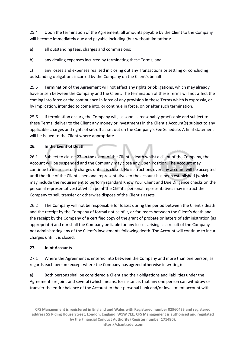25.4 Upon the termination of the Agreement, all amounts payable by the Client to the Company will become immediately due and payable including (but without limitation):

a) all outstanding fees, charges and commissions;

b) any dealing expenses incurred by terminating these Terms; and.

c) any losses and expenses realised in closing out any Transactions or settling or concluding outstanding obligations incurred by the Company on the Client's behalf.

25.5 Termination of the Agreement will not affect any rights or obligations, which may already have arisen between the Company and the Client. The termination of these Terms will not affect the coming into force or the continuance in force of any provision in these Terms which is expressly, or by implication, intended to come into, or continue in force, on or after such termination.

25.6 If termination occurs, the Company will, as soon as reasonably practicable and subject to these Terms, deliver to the Client any money or investments in the Client's Account(s) subject to any applicable charges and rights of set-off as set out on the Company's Fee Schedule. A final statement will be issued to the Client where appropriate

#### **26. In the Event of Death**

26.1 Subject to clause 27, in the event of the Client's death whilst a client of the Company, the Account will be suspended and the Company may close any Open Position. The Account may continue to incur custody charges until it is closed. No instructions over any account will be accepted until the title of the Client's personal representatives to the account has been established (which may include the requirement to perform standard Know Your Client and Due Diligence checks on the personal representatives) at which point the Client's personal representatives may instruct the Company to sell, transfer or otherwise dispose of the Client's assets.

26.2 The Company will not be responsible for losses during the period between the Client's death and the receipt by the Company of formal notice of it, or for losses between the Client's death and the receipt by the Company of a certified copy of the grant of probate or letters of administration (as appropriate) and nor shall the Company be liable for any losses arising as a result of the Company not administering any of the Client's investments following death. The Account will continue to incur charges until it is closed.

#### **27. Joint Accounts**

27.1 Where the Agreement is entered into between the Company and more than one person, as regards each person (except where the Company has agreed otherwise in writing):

a) Both persons shall be considered a Client and their obligations and liabilities under the Agreement are joint and several (which means, for instance, that any one person can withdraw or transfer the entire balance of the Account to their personal bank and/or investment account with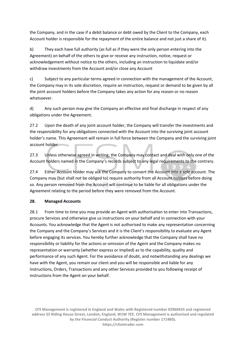the Company, and in the case if a debit balance or debt owed by the Client to the Company, each Account holder is responsible for the repayment of the entire balance and not just a share of it).

b) They each have full authority (as full as if they were the only person entering into the Agreement) on behalf of the others to give or receive any instruction, notice, request or acknowledgement without notice to the others, including an instruction to liquidate and/or withdraw investments from the Account and/or close any Account

c) Subject to any particular terms agreed in connection with the management of the Account, the Company may in its sole discretion, require an instruction, request or demand to be given by all the joint account holders before the Company takes any action for any reason or no reason whatsoever.

d) Any such person may give the Company an effective and final discharge in respect of any obligations under the Agreement.

27.2 Upon the death of any joint account holder, the Company will transfer the investments and the responsibility for any obligations connected with the Account into the surviving joint account holder's name. This Agreement will remain in full force between the Company and the surviving joint account holder.

27.3 Unless otherwise agreed in writing, the Company may contact and deal with only one of the Account holders named in the Company's records subject to any legal requirements to the contrary.

27.4 Either Account holder may ask the Company to convert the Account into a sole account. The Company may (but shall not be obliged to) require authority from all Account holders before doing so. Any person removed from the Account will continue to be liable for all obligations under the Agreement relating to the period before they were removed from the Account.

# **28. Managed Accounts**

28.1 From time to time you may provide an Agent with authorisation to enter into Transactions, procure Services and otherwise give us instructions on your behalf and in connection with your Accounts. You acknowledge that the Agent is not authorised to make any representation concerning the Company and the Company's Services and it is the Client's responsibility to evaluate any Agent before engaging its services. You hereby further acknowledge that the Company shall have no responsibility or liability for the actions or omission of the Agent and the Company makes no representation or warranty (whether express or implied) as to the capability, quality and performance of any such Agent. For the avoidance of doubt, and notwithstanding any dealings we have with the Agent, you remain our client and you will be responsible and liable for any Instructions, Orders, Transactions and any other Services provided to you following receipt of instructions from the Agent on your behalf.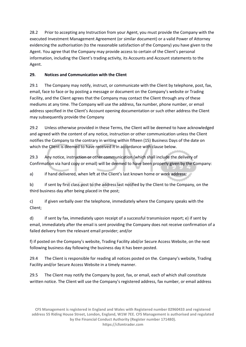28.2 Prior to accepting any Instruction from your Agent, you must provide the Company with the executed Investment Management Agreement (or similar document) or a valid Power of Attorney evidencing the authorisation (to the reasonable satisfaction of the Company) you have given to the Agent. You agree that the Company may provide access to certain of the Client's personal information, including the Client's trading activity, its Accounts and Account statements to the Agent.

# **29. Notices and Communication with the Client**

29.1 The Company may notify, instruct, or communicate with the Client by telephone, post, fax, email, face to face or by posting a message or document on the Company's website or Trading Facility, and the Client agrees that the Company may contact the Client through any of these mediums at any time. The Company will use the address, fax number, phone number, or email address specified in the Client's Account opening documentation or such other address the Client may subsequently provide the Company

29.2 Unless otherwise provided in these Terms, the Client will be deemed to have acknowledged and agreed with the content of any notice, instruction or other communication unless the Client notifies the Company to the contrary in writing within fifteen (15) Business Days of the date on which the Client is deemed to have received it in accordance with clause below.

29.3 Any notice, instruction or other communication (which shall include the delivery of Confirmation via hard copy or email) will be deemed to have been properly given by the Company:

a) if hand delivered, when left at the Client's last known home or work address;

b) if sent by first class post to the address last notified by the Client to the Company, on the third business day after being placed in the post;

c) if given verbally over the telephone, immediately where the Company speaks with the Client;

d) if sent by fax, immediately upon receipt of a successful transmission report; e) if sent by email, immediately after the email is sent providing the Company does not receive confirmation of a failed delivery from the relevant email provider; and/or

f) if posted on the Company's website, Trading Facility abd/or Secure Access Website, on the next following business day following the business day it has been posted.

29.4 The Client is responsible for reading all notices posted on the. Company's website, Trading Facility and/or Secure Access Website in a timely manner.

29.5 The Client may notify the Company by post, fax, or email, each of which shall constitute written notice. The Client will use the Company's registered address, fax number, or email address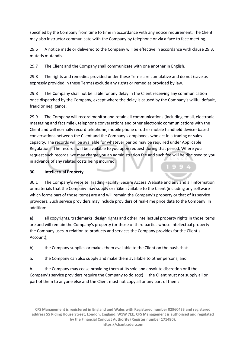specified by the Company from time to time in accordance with any notice requirement. The Client may also instructor communicate with the Company by telephone or via a face to face meeting.

29.6 A notice made or delivered to the Company will be effective in accordance with clause 29.3, mutatis mutandis.

29.7 The Client and the Company shall communicate with one another in English.

29.8 The rights and remedies provided under these Terms are cumulative and do not (save as expressly provided in these Terms) exclude any rights or remedies provided by law.

29.8 The Company shall not be liable for any delay in the Client receiving any communication once dispatched by the Company, except where the delay is caused by the Company's willful default, fraud or negligence.

29.9 The Company will record monitor and retain all communications (including email, electronic messaging and facsimile), telephone conversations and other electronic communications with the Client and will normally record telephone, mobile phone or other mobile handheld device- based conversations between the Client and the Company's employees who act in a trading or sales capacity. The records will be available for whatever period may be required under Applicable Regulations. The records will be available to you upon request during that period. Where you request such records, we may charge you an administration fee and such fee will be disclosed to you in advance of any related costs being incurred.

#### **30. Intellectual Property**

30.1 The Company's website, Trading Facility, Secure Access Website and any and all information or materials that the Company may supply or make available to the Client (including any software which forms part of those items) are and will remain the Company's property or that of its service providers. Such service providers may include providers of real-time price data to the Company. In addition:

a) all copyrights, trademarks, design rights and other intellectual property rights in those items are and will remain the Company's property (or those of third parties whose intellectual property the Company uses in relation to products and services the Company provides for the Client's Account);

b) the Company supplies or makes them available to the Client on the basis that:

a. the Company can also supply and make them available to other persons; and

b. the Company may cease providing them at its sole and absolute discretion or if the Company's service providers require the Company to do so;c) the Client must not supply all or part of them to anyone else and the Client must not copy all or any part of them;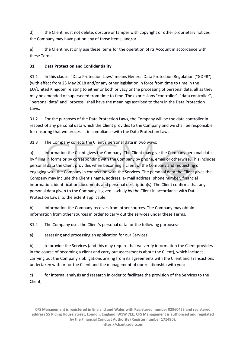d) the Client must not delete, obscure or tamper with copyright or other proprietary notices the Company may have put on any of those items; and/or

e) the Client must only use these items for the operation of its Account in accordance with these Terms.

# **31. Data Protection and Confidentiality**

31.1 In this clause, "Data Protection Laws" means General Data Protection Regulation ("GDPR") (with effect from 23 May 2018 and/or any other legislation in force from time to time in the EU/United Kingdom relating to either or both privacy or the processing of personal data, all as they may be amended or superseded from time to time. The expressions "controller", "data controller", "personal data" and "process" shall have the meanings ascribed to them in the Data Protection Laws.

31.2 For the purposes of the Data Protection Laws, the Company will be the data controller in respect of any personal data which the Client provides to the Company and we shall be responsible for ensuring that we process it in compliance with the Data Protection Laws..

31.3 The Company collects the Client's personal data in two ways:

a) Information the Client gives the Company. The Client may give the Company personal data by filling in forms or by corresponding with the Company by phone, email or otherwise. This includes personal data the Client provides when becoming a client of the Company and requesting or engaging with the Company in connection with the Services. The personal data the Client gives the Company may include the Client's name, address, e- mail address, phone number, financial information, identification documents and personal description(s). The Client confirms that any personal data given to the Company is given lawfully by the Client in accordance with Data Protection Laws, to the extent applicable.

b) Information the Company receives from other sources. The Company may obtain information from other sources in order to carry out the services under these Terms.

31.4 The Company uses the Client's personal data for the following purposes:

a) assessing and processing an application for our Services;

b) to provide the Services (and this may require that we verify information the Client provides in the course of becoming a client and carry out assessments about the Client), which includes carrying out the Company's obligations arising from its agreements with the Client and Transactions undertaken with or for the Client and the management of our relationship with you;

c) for internal analysis and research in order to facilitate the provision of the Services to the Client;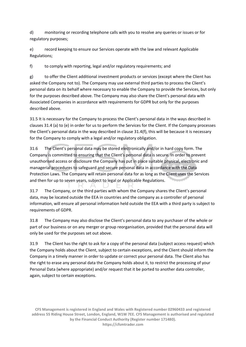d) monitoring or recording telephone calls with you to resolve any queries or issues or for regulatory purposes;

e) record keeping to ensure our Services operate with the law and relevant Applicable Regulations;

f) to comply with reporting, legal and/or regulatory requirements; and

g) to offer the Client additional investment products or services (except where the Client has asked the Company not to). The Company may use external third parties to process the Client's personal data on its behalf where necessary to enable the Company to provide the Services, but only for the purposes described above. The Company may also share the Client's personal data with Associated Companies in accordance with requirements for GDPR but only for the purposes described above.

31.5 It is necessary for the Company to process the Client's personal data in the ways described in clauses 31.4 (a) to (e) in order for us to perform the Services for the Client. If the Company processes the Client's personal data in the way described in clause 31.4(f), this will be because it is necessary for the Company to comply with a legal and/or regulatory obligation.

31.6 The Client's personal data may be stored electronically and/or in hard copy form. The Company is committed to ensuring that the Client's personal data is secure. In order to prevent unauthorised access or disclosure the Company has put in place suitable physical, electronic and managerial procedures to safeguard and secure personal data in accordance with the Data Protection Laws. The Company will retain personal data for as long as the Client uses the Services and then for up to seven years, subject to legal or Applicable Regulations.

31.7 The Company, or the third parties with whom the Company shares the Client's personal data, may be located outside the EEA in countries and the company as a controller of personal information, will ensure all personal information held outside the EEA with a third party is subject to requirements of GDPR.

31.8 The Company may also disclose the Client's personal data to any purchaser of the whole or part of our business or on any merger or group reorganisation, provided that the personal data will only be used for the purposes set out above.

31.9 The Client has the right to ask for a copy of the personal data (subject access request) which the Company holds about the Client, subject to certain exceptions, and the Client should inform the Company in a timely manner in order to update or correct your personal data. The Client also has the right to erase any personal data the Company holds about it, to restrict the processing of your Personal Data (where appropriate) and/or request that it be ported to another data controller, again, subject to certain exceptions.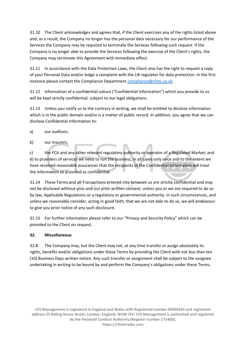31.10 The Client acknowledges and agrees that, if the Client exercises any of the rights listed above and, as a result, the Company no longer has the personal data necessary for our performance of the Services the Company may be required to terminate the Services following such request. If the Company is no longer able to provide the Services following the exercise of the Client's rights, the Company may terminate this Agreement with immediate effect.

31.11 In accordance with the Data Protection Laws, the Client also has the right to request a copy of your Personal Data and/or lodge a complaint with the UK regulator for data protection. In the first instance please contact the Compliance Departmen[t compliance@cfsm.co.uk.](mailto:compliance@cfsm.co.uk)

31.12 Information of a confidential nature ("Confidential Information") which you provide to us will be kept strictly confidential, subject to our legal obligations.

31.13 Unless you notify us to the contrary in writing, we shall be entitled to disclose information which is in the public domain and/or is a matter of public record. In addition, you agree that we can disclose Confidential Information to:

- a) our auditors;
- b) our insurers;

c) the FCA and any other relevant regulatory authority or operator of a Regulated Market; and d) to providers of services we need to run the business, in all cases only once and to the extent we have received reasonable assurances that the recipients of the Confidential Information will treat the information so provided as confidential.

31.14 These Terms and all Transactions entered into between us are strictly confidential and may not be disclosed without your and our prior written consent, unless you or we are required to do so by law, Applicable Regulations or a regulatory or governmental authority. In such circumstances, and unless we reasonably consider, acting in good faith, that we are not able to do so, we will endeavour to give you prior notice of any such disclosure.

31.15 For further information please refer to our "Privacy and Security Policy" which can be provided to the Client on request.

#### **32. Miscellaneous**

32.8 The Company may, but the Client may not, at any time transfer or assign absolutely its rights, benefits and/or obligations under these Terms by providing the Client with not less than ten (10) Business Days written notice. Any such transfer or assignment shall be subject to the assignee undertaking in writing to be bound by and perform the Company's obligations under these Terms.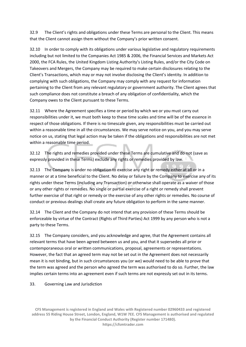32.9 The Client's rights and obligations under these Terms are personal to the Client. This means that the Client cannot assign them without the Company's prior written consent.

32.10 In order to comply with its obligations under various legislative and regulatory requirements including but not limited to the Companies Act 1985 & 2006, the Financial Services and Markets Act 2000, the FCA Rules, the United Kingdom Listing Authority's Listing Rules, and/or the City Code on Takeovers and Mergers, the Company may be required to make certain disclosures relating to the Client's Transactions, which may or may not involve disclosing the Client's identity. In addition to complying with such obligations, the Company may comply with any request for information pertaining to the Client from any relevant regulatory or government authority. The Client agrees that such compliance does not constitute a breach of any obligation of confidentiality, which the Company owes to the Client pursuant to these Terms.

32.11 Where the Agreement specifies a time or period by which we or you must carry out responsibilities under it, we must both keep to these time scales and time will be of the essence in respect of those obligations. If there is no timescale given, any responsibilities must be carried out within a reasonable time in all the circumstances. We may serve notice on you, and you may serve notice on us, stating that legal action may be taken if the obligations and responsibilities are not met within a reasonable time period.

32.12 The rights and remedies provided under these Terms are cumulative and do not (save as expressly provided in these Terms) exclude any rights or remedies provided by law.

32.13 The Company is under no obligation to exercise any right or remedy either at all or in a manner or at a time beneficial to the Client. No delay or failure by the Company to exercise any of its rights under these Terms (including any Transaction) or otherwise shall operate as a waiver of those or any other rights or remedies. No single or partial exercise of a right or remedy shall prevent further exercise of that right or remedy or the exercise of any other rights or remedies. No course of conduct or previous dealings shall create any future obligation to perform in the same manner.

32.14 The Client and the Company do not intend that any provision of these Terms should be enforceable by virtue of the Contract (Rights of Third Parties) Act 1999 by any person who is not a party to these Terms.

32.15 The Company considers, and you acknowledge and agree, that the Agreement contains all relevant terms that have been agreed between us and you, and that it supersedes all prior or contemporaneous oral or written communications, proposal, agreements or representations. However, the fact that an agreed term may not be set out in the Agreement does not necessarily mean it is not binding, but in such circumstances you (or we) would need to be able to prove that the term was agreed and the person who agreed the term was authorised to do so. Further, the law implies certain terms into an agreement even if such terms are not expressly set out in its terms.

33. Governing Law and Jurisdiction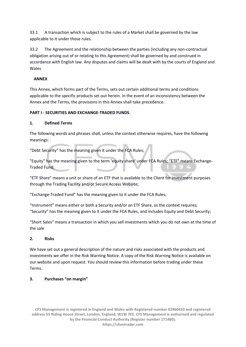33.1 A transaction which is subject to the rules of a Market shall be governed by the law applicable to it under those rules.

33.2 The Agreement and the relationship between the parties (including any non-contractual obligation arising out of or relating to this Agreement) shall be governed by and construed in accordance with English law. Any disputes and claims will be dealt with by the courts of England and Wales

# **ANNEX**

This Annex, which forms part of the Terms, sets out certain additional terms and conditions applicable to the specific products set out herein. In the event of an inconsistency between the Annex and the Terms, the provisions in this Annex shall take precedence.

# **PART I - SECURITIES AND EXCHANGE-TRADED FUNDS**.

#### **1. Defined Terms**

The following words and phrases shall, unless the context otherwise requires, have the following meanings: .

"Debt Security" has the meaning given it under the FCA Rules;

"Equity" has the meaning given to the term 'equity share' under FCA Rules; "ETF" means Exchange-Traded Fund;

"ETF Share" means a unit or share of an ETF that is available to the Client for investment purposes through the Trading Facility and/or Secure Access Website;

"Exchange-Traded Fund" has the meaning given to it under the FCA Rules;

"Instrument" means either or both a Security and/or an ETF Share, as the context requires; "Security" has the meaning given to it under the FCA Rules, and includes Equity and Debt Security;

"Short Sales" means a transaction in which you sell investments which you do not own at the time of the sale

# **2. Risks**

We have set out a general description of the nature and risks associated with the products and investments we offer in the Risk Warning Notice. A copy of the Risk Warning Notice is available on our website and upon request. You should review this information before trading under these Terms.

# **3. Purchases "on margin"**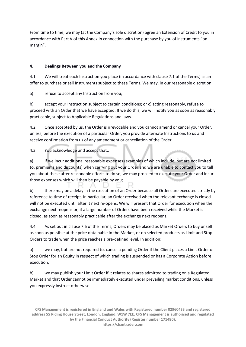From time to time, we may (at the Company's sole discretion) agree an Extension of Credit to you in accordance with Part V of this Annex in connection with the purchase by you of Instruments "on margin".

# **4. Dealings Between you and the Company**

4.1 We will treat each Instruction you place (in accordance with clause 7.1 of the Terms) as an offer to purchase or sell Instruments subject to these Terms. We may, in our reasonable discretion:

a) refuse to accept any Instruction from you;

b) accept your Instruction subject to certain conditions; or c) acting reasonably, refuse to proceed with an Order that we have accepted. If we do this, we will notify you as soon as reasonably practicable, subject to Applicable Regulations and laws.

4.2 Once accepted by us, the Order is irrevocable and you cannot amend or cancel your Order, unless, before the execution of a particular Order, you provide alternate Instructions to us and receive confirmation from us of any amendment or cancellation of the Order.

4.3 You acknowledge and accept that:.

a) if we incur additional reasonable expenses (examples of which include, but are not limited to, premiums and discounts) when carrying out your Order and we are unable to contact you to tell you about these after reasonable efforts to do so, we may proceed to execute your Order and incur those expenses which will then be payable by you;

b) there may be a delay in the execution of an Order because all Orders are executed strictly by reference to time of receipt. In particular, an Order received when the relevant exchange is closed will not be executed until after it next re-opens. We will present that Order for execution when the exchange next reopens or, if a large number of Orders have been received while the Market is closed, as soon as reasonably practicable after the exchange next reopens.

4.4 As set out in clause 7.6 of the Terms, Orders may be placed as Market Orders to buy or sell as soon as possible at the price obtainable in the Market, or on selected products as Limit and Stop Orders to trade when the price reaches a pre-defined level. In addition:

a) we may, but are not required to, cancel a pending Order if the Client places a Limit Order or Stop Order for an Equity in respect of which trading is suspended or has a Corporate Action before execution;

b) we may publish your Limit Order if it relates to shares admitted to trading on a Regulated Market and that Order cannot be immediately executed under prevailing market conditions, unless you expressly instruct otherwise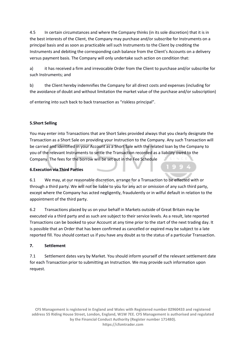4.5 In certain circumstances and where the Company thinks (in its sole discretion) that it is in the best interests of the Client, the Company may purchase and/or subscribe for Instruments on a principal basis and as soon as practicable sell such Instruments to the Client by crediting the Instruments and debiting the corresponding cash balance from the Client's Accounts on a delivery versus payment basis. The Company will only undertake such action on condition that:

a) it has received a firm and irrevocable Order from the Client to purchase and/or subscribe for such Instruments; and

b) the Client hereby indemnifies the Company for all direct costs and expenses (including for the avoidance of doubt and without limitation the market value of the purchase and/or subscription)

of entering into such back to back transaction as "riskless principal".

#### **5.Short Selling**

You may enter into Transactions that are Short Sales provided always that you clearly designate the Transaction as a Short Sale on providing your Instruction to the Company. Any such Transaction will be carried and identified in your Account as a Short Sale with the related loan by the Company to you of the relevant Instruments to settle the Transaction recorded as a liability owed to the Company. The fees for the borrow will be set out in the Fee Schedule

#### **6.Execution via Third Parties**

6.1 We may, at our reasonable discretion, arrange for a Transaction to be effected with or through a third party. We will not be liable to you for any act or omission of any such third party, except where the Company has acted negligently, fraudulently or in wilful default in relation to the appointment of the third party.

6.2 Transactions placed by us on your behalf in Markets outside of Great Britain may be executed via a third party and as such are subject to their service levels. As a result, late reported Transactions can be booked to your Account at any time prior to the start of the next trading day. It is possible that an Order that has been confirmed as cancelled or expired may be subject to a late reported fill. You should contact us if you have any doubt as to the status of a particular Transaction.

#### **7. Settlement**

7.1 Settlement dates vary by Market. You should inform yourself of the relevant settlement date for each Transaction prior to submitting an Instruction. We may provide such information upon request.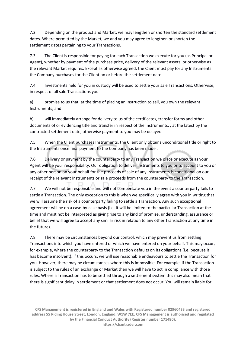7.2 Depending on the product and Market, we may lengthen or shorten the standard settlement dates. Where permitted by the Market, we and you may agree to lengthen or shorten the settlement dates pertaining to your Transactions.

7.3 The Client is responsible for paying for each Transaction we execute for you (as Principal or Agent), whether by payment of the purchase price, delivery of the relevant assets, or otherwise as the relevant Market requires. Except as otherwise agreed, the Client must pay for any Instruments the Company purchases for the Client on or before the settlement date.

7.4 Investments held for you in custody will be used to settle your sale Transactions. Otherwise, in respect of all sale Transactions you

a) promise to us that, at the time of placing an Instruction to sell, you own the relevant Instruments; and

b) will immediately arrange for delivery to us of the certificates, transfer forms and other documents of or evidencing title and transfer in respect of the Instruments, , at the latest by the contracted settlement date, otherwise payment to you may be delayed.

7.5 When the Client purchases Instruments, the Client only obtains unconditional title or right to the Instruments once final payment to the Company has been made .

7.6 Delivery or payment by the counterparty to any Transaction we place or execute as your Agent will be your responsibility. Our obligation to deliver Instruments to you or to account to you or any other person on your behalf for the proceeds of sale of any instruments is conditional on our receipt of the relevant Instruments or sale proceeds from the counterparty to the Transaction.

7.7 We will not be responsible and will not compensate you in the event a counterparty fails to settle a Transaction. The only exception to this is when we specifically agree with you in writing that we will assume the risk of a counterparty failing to settle a Transaction. Any such exceptional agreement will be on a case-by-case basis (i.e. it will be limited to the particular Transaction at the time and must not be interpreted as giving rise to any kind of promise, understanding, assurance or belief that we will agree to accept any similar risk in relation to any other Transaction at any time in the future).

7.8 There may be circumstances beyond our control, which may prevent us from settling Transactions into which you have entered or which we have entered on your behalf. This may occur, for example, where the counterparty to the Transaction defaults on its obligations (i.e. because it has become insolvent). If this occurs, we will use reasonable endeavours to settle the Transaction for you. However, there may be circumstances where this is impossible. For example, if the Transaction is subject to the rules of an exchange or Market then we will have to act in compliance with those rules. Where a Transaction has to be settled through a settlement system this may also mean that there is significant delay in settlement or that settlement does not occur. You will remain liable for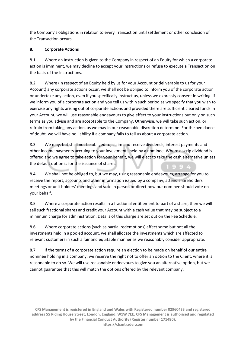the Company's obligations in relation to every Transaction until settlement or other conclusion of the Transaction occurs.

# **8. Corporate Actions**

8.1 Where an Instruction is given to the Company in respect of an Equity for which a corporate action is imminent, we may decline to accept your instructions or refuse to execute a Transaction on the basis of the Instructions.

8.2 Where (in respect of an Equity held by us for your Account or deliverable to us for your Account) any corporate actions occur, we shall not be obliged to inform you of the corporate action or undertake any action, even if you specifically instruct us, unless we expressly consent in writing. If we inform you of a corporate action and you tell us within such period as we specify that you wish to exercise any rights arising out of corporate actions and provided there are sufficient cleared funds in your Account, we will use reasonable endeavours to give effect to your instructions but only on such terms as you advise and are acceptable to the Company. Otherwise, we will take such action, or refrain from taking any action, as we may in our reasonable discretion determine. For the avoidance of doubt, we will have no liability if a company fails to tell us about a corporate action.

8.3 We may, but shall not be obliged to, claim and receive dividends, interest payments and other income payments accruing to your investments held by a nominee. Where a scrip dividend is offered and we agree to take action for your benefit, we will elect to take the cash alternative unless the default option is for the issuance of shares.

8.4 We shall not be obliged to, but we may, using reasonable endeavours, arrange for you to receive the report, accounts and other information issued by a company, attend shareholders' meetings or unit holders' meetings and vote in person or direct how our nominee should vote on your behalf.

8.5 Where a corporate action results in a fractional entitlement to part of a share, then we will sell such fractional shares and credit your Account with a cash value that may be subject to a minimum charge for administration. Details of this charge are set out on the Fee Schedule.

8.6 Where corporate actions (such as partial redemptions) affect some but not all the investments held in a pooled account, we shall allocate the investments which are affected to relevant customers in such a fair and equitable manner as we reasonably consider appropriate.

8.7 If the terms of a corporate action require an election to be made on behalf of our entire nominee holding in a company, we reserve the right not to offer an option to the Client, where it is reasonable to do so. We will use reasonable endeavours to give you an alternative option, but we cannot guarantee that this will match the options offered by the relevant company.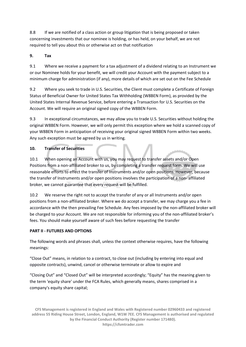8.8 If we are notified of a class action or group litigation that is being proposed or taken concerning investments that our nominee is holding, or has held, on your behalf, we are not required to tell you about this or otherwise act on that notification

# **9. Tax**

9.1 Where we receive a payment for a tax adjustment of a dividend relating to an Instrument we or our Nominee holds for your benefit, we will credit your Account with the payment subject to a minimum charge for administration (if any), more details of which are set out on the Fee Schedule

9.2 Where you seek to trade in U.S. Securities, the Client must complete a Certificate of Foreign Status of Beneficial Owner for United States Tax Withholding (W8BEN Form), as provided by the United States Internal Revenue Service, before entering a Transaction for U.S. Securities on the Account. We will require an original signed copy of the W8BEN Form.

9.3 In exceptional circumstances, we may allow you to trade U.S. Securities without holding the original W8BEN Form. However, we will only permit this exception where we hold a scanned copy of your W8BEN Form in anticipation of receiving your original signed W8BEN Form within two weeks. Any such exception must be agreed by us in writing.

# **10. Transfer of Securities**

10.1 When opening an Account with us, you may request to transfer assets and/or Open Positions from a non-affiliated broker to us, by completing a transfer request form. We will use reasonable efforts to effect the transfer of Instruments and/or open positions. However, because the transfer of Instruments and/or open positions involves the participation of a non- affiliated broker, we cannot guarantee that every request will be fulfilled.

10.2 We reserve the right not to accept the transfer of any or all Instruments and/or open positions from a non-affiliated broker. Where we do accept a transfer, we may charge you a fee in accordance with the then prevailing Fee Schedule. Any fees imposed by the non-affiliated broker will be charged to your Account. We are not responsible for informing you of the non-affiliated broker's fees. You should make yourself aware of such fees before requesting the transfer

# **PART II - FUTURES AND OPTIONS**

The following words and phrases shall, unless the context otherwise requires, have the following meanings:

"Close Out" means, in relation to a contract, to close out (including by entering into equal and opposite contracts), unwind, cancel or otherwise terminate or allow to expire and

"Closing Out" and "Closed Out" will be interpreted accordingly; "Equity" has the meaning given to the term 'equity share' under the FCA Rules, which generally means, shares comprised in a company's equity share capital;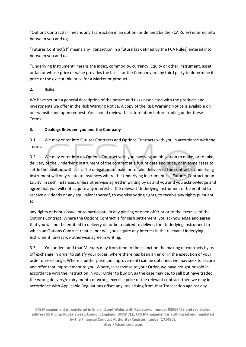"Options Contract(s)" means any Transaction in an option (as defined by the FCA Rules) entered into between you and us;

"Futures Contract(s)" means any Transaction in a future (as defined by the FCA Rules) entered into between you and us.

"Underlying Instrument" means the index, commodity, currency, Equity or other instrument, asset or factor whose price or value provides the basis for the Company or any third party to determine its price or the executable price for a Market or product.

# **2. Risks**

We have set out a general description of the nature and risks associated with the products and investments we offer in the Risk Warning Notice. A copy of the Risk Warning Notice is available on our website and upon request. You should review this information before trading under these Terms.

# **3. Dealings Between you and the Company**

3.1 We may enter into Futures Contracts and Options Contracts with you in accordance with the Terms.

3.2 We may enter into an Options Contract with you involving an obligation to make, or to take, delivery of the Underlying Instrument of the contract at a future date and price, or in some cases to settle the position with cash. The obligation to make or to take delivery of the contract's Underlying Instrument will only relate to instances where the Underlying Instrument is a Futures Contract or an Equity; in such instances, unless otherwise agreed in writing by us and you and you acknowledge and agree that you will not acquire any interest in the relevant Underlying Instrument or be entitled to receive dividends or any equivalent thereof, to exercise voting rights, to receive any rights pursuant to

any rights or bonus issue, or to participate in any placing or open offer prior to the exercise of the Options Contract. Where the Options Contract is for cash settlement, you acknowledge and agree that you will not be entitled to delivery of, or be required to deliver, the Underlying Instrument to which an Options Contract relates, nor will you acquire any interest in the relevant Underlying Instrument, unless we otherwise agree in writing.

3.3 You understand that Markets may from time to time sanction the making of contracts by us off exchange in order to satisfy your order, where there has been an error in the execution of your order on-exchange. Where a better price (an improvement) can be obtained, we may seek to secure and offer that improvement to you. Where, in response to your Order, we have bought or sold in accordance with the instruction in your Order to buy or, as the case may be, to sell but have traded the wrong delivery/expiry month or wrong exercise price of the relevant contract, then we may in accordance with Applicable Regulations offset any loss arising from that Transaction against any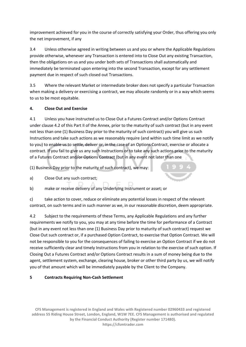improvement achieved for you in the course of correctly satisfying your Order, thus offering you only the net improvement, if any

3.4 Unless otherwise agreed in writing between us and you or where the Applicable Regulations provide otherwise, whenever any Transaction is entered into to Close Out any existing Transaction, then the obligations on us and you under both sets of Transactions shall automatically and immediately be terminated upon entering into the second Transaction, except for any settlement payment due in respect of such closed out Transactions.

3.5 Where the relevant Market or intermediate broker does not specify a particular Transaction when making a delivery or exercising a contract, we may allocate randomly or in a way which seems to us to be most equitable.

# **4. Close Out and Exercise**

4.1 Unless you have instructed us to Close Out a Futures Contract and/or Options Contract under clause 4.2 of this Part II of the Annex, prior to the maturity of such contract (but in any event not less than one (1) Business Day prior to the maturity of such contract) you will give us such Instructions and take such actions as we reasonably require (and within such time limit as we notify to you) to enable us to settle, deliver or, in the case of an Options Contract, exercise or allocate a contract. If you fail to give us any such Instructions or to take any such actions prior to the maturity of a Futures Contract and/or Options Contract (but in any event not later than one

(1) Business Day prior to the maturity of such contract), we may:

a) Close Out any such contract;



b) make or receive delivery of any Underlying Instrument or asset; or

c) take action to cover, reduce or eliminate any potential losses in respect of the relevant contract, on such terms and in such manner as we, in our reasonable discretion, deem appropriate.

4.2 Subject to the requirements of these Terms, any Applicable Regulations and any further requirements we notify to you, you may at any time before the time for performance of a Contract (but in any event not less than one (1) Business Day prior to maturity of such contract) request we Close Out such contract or, if a purchased Option Contract, to exercise that Option Contract. We will not be responsible to you for the consequences of failing to exercise an Option Contract if we do not receive sufficiently clear and timely Instructions from you in relation to the exercise of such option. If Closing Out a Futures Contract and/or Options Contract results in a sum of money being due to the agent, settlement system, exchange, clearing house, broker or other third party by us, we will notify you of that amount which will be immediately payable by the Client to the Company.

# **5 Contracts Requiring Non-Cash Settlement**

**CFS Management is registered in England and Wales with Registered number 02960433 and registered address 55 Riding House Street, London, England, W1W 7EE. CFS Management is authorised and regulated by the Financial Conduct Authority (Register number 171480). https://cfsmtrader.com**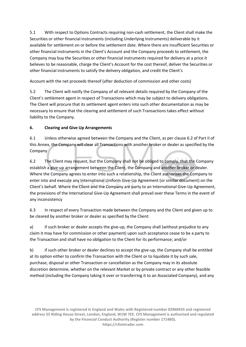5.1 With respect to Options Contracts requiring non-cash settlement, the Client shall make the Securities or other financial instruments (including Underlying Instruments) deliverable by it available for settlement on or before the settlement date. Where there are insufficient Securities or other financial instruments in the Client's Account and the Company proceeds to settlement, the Company may buy the Securities or other financial instruments required for delivery at a price it believes to be reasonable, charge the Client's Account for the cost thereof, deliver the Securities or other financial instruments to satisfy the delivery obligation, and credit the Client's

Account with the net proceeds thereof (after deduction of commission and other costs)

5.2 The Client will notify the Company of all relevant details required by the Company of the Client's settlement agent in respect of Transactions which may be subject to delivery obligations. The Client will procure that its settlement agent enters into such other documentation as may be necessary to ensure that the clearing and settlement of such Transactions takes effect without liability to the Company.

# **6. Clearing and Give Up Arrangements**

6.1 Unless otherwise agreed between the Company and the Client, as per clause 6.2 of Part II of this Annex, the Company will clear all Transactions with another broker or dealer as specified by the Company

6.2 The Client may request, but the Company shall not be obliged to comply, that the Company establish a give-up arrangement between the Client, the Company and another broker or dealer. Where the Company agrees to enter into such a relationship, the Client authorises the Company to enter into and execute any International Uniform Give-Up Agreement (or similar document) on the Client's behalf. Where the Client and the Company are party to an International Give-Up Agreement, the provisions of the International Give-Up Agreement shall prevail over these Terms in the event of any inconsistency

6.3 In respect of every Transaction made between the Company and the Client and given up to be cleared by another broker or dealer as specified by the Client:

a) if such broker or dealer accepts the give-up, the Company shall (without prejudice to any claim it may have for commission or other payment) upon such acceptance cease to be a party to the Transaction and shall have no obligation to the Client for its performance; and/or

b) if such other broker or dealer declines to accept the give-up, the Company shall be entitled at its option either to confirm the Transaction with the Client or to liquidate it by such sale, purchase, disposal or other Transaction or cancellation as the Company may in its absolute discretion determine, whether on the relevant Market or by private contract or any other feasible method (including the Company taking it over or transferring it to an Associated Company), and any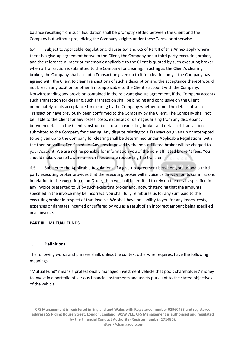balance resulting from such liquidation shall be promptly settled between the Client and the Company but without prejudicing the Company's rights under these Terms or otherwise.

6.4 Subject to Applicable Regulations, clauses 6.4 and 6.5 of Part II of this Annex apply where there is a give-up agreement between the Client, the Company and a third party executing broker, and the reference number or mnemonic applicable to the Client is quoted by such executing broker when a Transaction is submitted to the Company for clearing. In acting as the Client's clearing broker, the Company shall accept a Transaction given up to it for clearing only if the Company has agreed with the Client to clear Transactions of such a description and the acceptance thereof would not breach any position or other limits applicable to the Client's account with the Company. Notwithstanding any provision contained in the relevant give-up agreement, if the Company accepts such Transaction for clearing, such Transaction shall be binding and conclusive on the Client immediately on its acceptance for clearing by the Company whether or not the details of such Transaction have previously been confirmed to the Company by the Client. The Company shall not be liable to the Client for any losses, costs, expenses or damages arising from any discrepancy between details in the Client's instructions to such executing broker and details of Transactions submitted to the Company for clearing. Any dispute relating to a Transaction given up or attempted to be given up to the Company for clearing shall be determined under Applicable Regulations. with the then prevailing Fee Schedule. Any fees imposed by the non-affiliated broker will be charged to your Account. We are not responsible for information you of the non- affiliated broker's fees. You should make yourself aware of such fees before requesting the transfer

6.5 Subject to the Applicable Regulations, if a give-up agreement between you, us and a third party executing broker provides that the executing broker will invoice us directly for its commissions in relation to the execution of an Order, then we shall be entitled to rely on the details specified in any invoice presented to us by such executing broker and, notwithstanding that the amounts specified in the invoice may be incorrect, you shall fully reimburse us for any sum paid to the executing broker in respect of that invoice. We shall have no liability to you for any losses, costs, expenses or damages incurred or suffered by you as a result of an incorrect amount being specified in an invoice.

#### **PART III – MUTUAL FUNDS**

#### **1. Definitions**.

The following words and phrases shall, unless the context otherwise requires, have the following meanings:

"Mutual Fund" means a professionally managed investment vehicle that pools shareholders' money to invest in a portfolio of various financial instruments and assets pursuant to the stated objectives of the vehicle.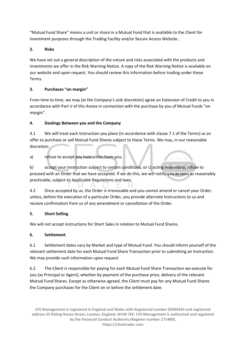"Mutual Fund Share" means a unit or share in a Mutual Fund that is available to the Client for investment purposes through the Trading Facility and/or Secure Access Website. .

# **2. Risks**

We have set out a general description of the nature and risks associated with the products and investments we offer in the Risk Warning Notice. A copy of the Risk Warning Notice is available on our website and upon request. You should review this information before trading under these Terms.

# **3. Purchases "on margin"**

From time to time, we may (at the Company's sole discretion) agree an Extension of Credit to you in accordance with Part V of this Annex in connection with the purchase by you of Mutual Funds "on margin".

# **4. Dealings Between you and the Company**

4.1 We will treat each Instruction you place (in accordance with clause 7.1 of the Terms) as an offer to purchase or sell Mutual Fund Shares subject to these Terms. We may, in our reasonable discretion:

# a) refuse to accept any Instruction from you;

b) accept your Instruction subject to certain conditions; or c) acting reasonably, refuse to proceed with an Order that we have accepted. If we do this, we will notify you as soon as reasonably practicable, subject to Applicable Regulations and laws.

4.2 Once accepted by us, the Order is irrevocable and you cannot amend or cancel your Order, unless, before the execution of a particular Order, you provide alternate Instructions to us and receive confirmation from us of any amendment or cancellation of the Order.

# **5. Short Selling**

We will not accept instructions for Short Sales in relation to Mutual Fund Shares.

# **6. Settlement**

6.1 Settlement dates vary by Market and type of Mutual Fund. You should inform yourself of the relevant settlement date for each Mutual Fund Share Transaction prior to submitting an Instruction. We may provide such information upon request

6.2 The Client is responsible for paying for each Mutual Fund Share Transaction we execute for you (as Principal or Agent), whether by payment of the purchase price, delivery of the relevant Mutual Fund Shares. Except as otherwise agreed, the Client must pay for any Mutual Fund Shares the Company purchases for the Client on or before the settlement date.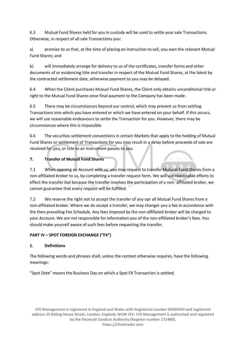6.3 Mutual Fund Shares held for you in custody will be used to settle your sale Transactions. Otherwise, in respect of all sale Transactions you:

a) promise to us that, at the time of placing an Instruction to sell, you own the relevant Mutual Fund Shares; and

b) will immediately arrange for delivery to us of the certificates, transfer forms and other documents of or evidencing title and transfer in respect of the Mutual Fund Shares, at the latest by the contracted settlement date, otherwise payment to you may be delayed.

6.4 When the Client purchases Mutual Fund Shares, the Client only obtains unconditional title or right to the Mutual Fund Shares once final payment to the Company has been made.

6.5 There may be circumstances beyond our control, which may prevent us from settling Transactions into which you have entered or which we have entered on your behalf. If this occurs, we will use reasonable endeavours to settle the Transaction for you. However, there may be circumstances where this is impossible

6.6 The securities settlement conventions in certain Markets that apply to the holding of Mutual Fund Shares or settlement of Transactions for you may result in a delay before proceeds of sale are received for you, or title to an Instrument passes to you.

# **7. Transfer of Mutual Fund Shares**

7.1 When opening an Account with us, you may request to transfer Mutural Fund Shares from a non-affiliated broker to us, by completing a transfer request form. We will use reasonable efforts to effect the transfer but because the transfer involves the participation of a non- affiliated broker, we cannot guarantee that every request will be fulfilled.

7.2 We reserve the right not to accept the transfer of any opr all Mutual Fund Shares from a non-affiliated broker. Where we do accept a transfer, we may changer you a fee in accordance with the then prevailing Fee Schedule. Any fees imposed by the non-affiliated broker will be charged to your Account. We are not responsible for information you of the non-affiliated broker's fees. You should make yourself aware of such fees before requesting the transfer.

# **PART IV – SPOT FOREIGN EXCHANGE ("FX")**

# **1. Definitions**

The following words and phrases shall, unless the context otherwise requires, have the following meanings:

"Spot Date" means the Business Day on which a Spot FX Transaction is settled;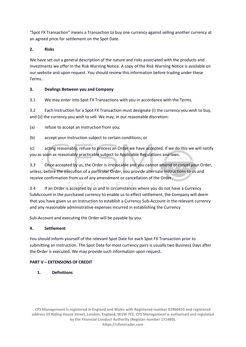"Spot FX Transaction" means a Transaction to buy one currency against selling another currency at an agreed price for settlement on the Spot Date.

# **2. Risks**

We have set out a general description of the nature and risks associated with the products and investments we offer in the Risk Warning Notice. A copy of the Risk Warning Notice is available on our website and upon request. You should review this information before trading under these Terms..

# **3. Dealings Between you and Company**

3.1 We may enter into Spot FX Transactions with you in accordance with the Terms.

3.2 Each Instruction for a Spot FX Transaction must designate (i) the currency you wish to buy, and (ii) the currency you wish to sell. We may, in our reasonable discretion:

(a) refuse to accept an Instruction from you;

(b) accept your Instruction subject to certain conditions; or

(c) acting reasonably, refuse to process an Order we have accepted. If we do this we will notify you as soon as reasonably practicable subject to Applicable Regulations and laws.

3.3 Once accepted by us, the Order is irrevocable and you cannot amend or cancel your Order, unless, before the execution of a particular Order, you provide alternate Instructions to us and receive confirmation from us of any amendment or cancellation of the Order.

3.4 If an Order is accepted by us and in circumstances where you do not have a Currency SubAccount in the purchased currency to enable us to effect settlement, the Company will deem that you have given us an Instruction to establish a Currency Sub-Account in the relevant currency and any reasonable administrative expenses incurred in establishing the Currency

Sub-Account and executing the Order will be payable by you.

# **4. Settlement**

You should inform yourself of the relevant Spot Date for each Spot FX Transaction prior to submitting an Instruction. The Spot Date for most currency pairs is usually two Business Days after the Order is executed. We may provide such information upon request.

# **PART V – EXTENSIONS OF CREDIT**

**1. Definitions**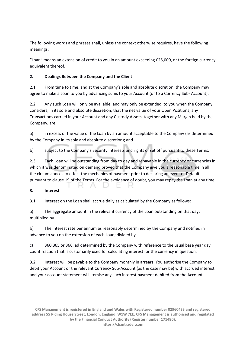The following words and phrases shall, unless the context otherwise requires, have the following meanings:

"Loan" means an extension of credit to you in an amount exceeding £25,000, or the foreign currency equivalent thereof.

#### **2. Dealings Between the Company and the Client**

2.1 From time to time, and at the Company's sole and absolute discretion, the Company may agree to make a Loan to you by advancing sums to your Account (or to a Currency Sub- Account).

2.2 Any such Loan will only be available, and may only be extended, to you when the Company considers, in its sole and absolute discretion, that the net value of your Open Positions, any Transactions carried in your Account and any Custody Assets, together with any Margin held by the Company, are:

a) in excess of the value of the Loan by an amount acceptable to the Company (as determined by the Company in its sole and absolute discretion); and

b) subject to the Company's Security Interests and rights of set off pursuant to these Terms.

2.3 Each Loan will be outstanding from day to day and repayable in the currency or currencies in which it was denominated on demand proved that the Company give you a reasonable time in all the circumstances to effect the mechanics of payment prior to declaring an event of Default pursuant to clause 19 of the Terms. For the avoidance of doubt, you may repay the Loan at any time.

 $\sim$ 

 $\equiv$ 

#### **3. Interest**

3.1 Interest on the Loan shall accrue daily as calculated by the Company as follows:

- A - D

in C

a) The aggregate amount in the relevant currency of the Loan outstanding on that day; multiplied by

b) The interest rate per annum as reasonably determined by the Company and notified in advance to you on the extension of each Loan; divided by

c) 360,365 or 366, ad determined by the Company with reference to the usual base year day count fraction that is customarily used for calculating interest for the currency in question.

3.2 Interest will be payable to the Company monthly in arrears. You authorise the Company to debit your Account or the relevant Currency Sub-Account (as the case may be) with accrued interest and your account statement will itemise any such interest payment debited from the Account.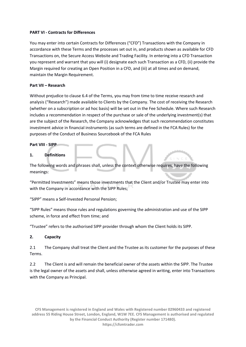#### **PART VI - Contracts for Differences**

You may enter into certain Contracts for Differences ("CFD") Transactions with the Company in accordance with these Terms and the processes set out in, and products shown as available for CFD Transactions on, the Secure Access Website and Trading Facility. In entering into a CFD Transaction you represent and warrant that you will (i) designate each such Transaction as a CFD, (ii) provide the Margin required for creating an Open Position in a CFD, and (iii) at all times and on demand, maintain the Margin Requirement.

#### **Part VII – Research**

Without prejudice to clause 6.4 of the Terms, you may from time to time receive research and analysis ("Research") made available to Clients by the Company. The cost of receiving the Research (whether on a subscription or ad hoc basis) will be set out in the Fee Schedule. Where such Research includes a recommendation in respect of the purchase or sale of the underlying investment(s) that are the subject of the Research, the Company acknowledges that such recommendation constitutes investment advice in financial instruments (as such terms are defined in the FCA Rules) for the purposes of the Conduct of Business Sourcebook of the FCA Rules

#### **Part VIII - SIPP**

#### **1. Definitions**

The following words and phrases shall, unless the context otherwise requires, have the following meanings:

"Permitted Investments" means those investments that the Client and/or Trustee may enter into with the Company in accordance with the SIPP Rules:

"SIPP" means a Self-Invested Personal Pension;

"SIPP Rules" means those rules and regulations governing the administration and use of the SIPP scheme, in force and effect from time; and

"Trustee" refers to the authorised SIPP provider through whom the Client holds its SIPP.

#### **2. Capacity**

2.1 The Company shall treat the Client and the Trustee as its customer for the purposes of these Terms.

2.2 The Client is and will remain the beneficial owner of the assets within the SIPP. The Trustee is the legal owner of the assets and shall, unless otherwise agreed in writing, enter into Transactions with the Company as Principal.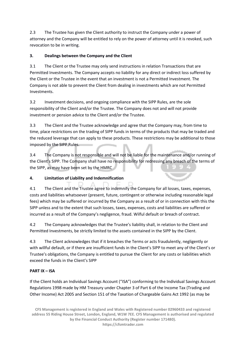2.3 The Trustee has given the Client authority to instruct the Company under a power of attorney and the Company will be entitled to rely on the power of attorney until it is revoked, such revocation to be in writing.

# **3. Dealings between the Company and the Client**

3.1 The Client or the Trustee may only send instructions in relation Transactions that are Permitted Investments. The Company accepts no liability for any direct or indirect loss suffered by the Client or the Trustee in the event that an investment is not a Permitted Investment. The Company is not able to prevent the Client from dealing in investments which are not Permitted Investments.

3.2 Investment decisions, and ongoing compliance with the SIPP Rules, are the sole responsibility of the Client and/or the Trustee. The Company does not and will not provide investment or pension advice to the Client and/or the Trustee.

3.3 The Client and the Trustee acknowledge and agree that the Company may, from time to time, place restrictions on the trading of SIPP funds in terms of the products that may be traded and the reduced leverage that can apply to these products. These restrictions may be additional to those imposed by the SIPP Rules.

3.4 The Company is not responsible and will not be liable for the maintenance and/or running of the Client's SIPP. The Company shall have no responsibility for redressing any breach of the terms of the SIPP, as may have been set by the HMRC

# **4. Limitation of Liability and Indemnification**

4.1 The Client and the Trustee agree to indemnify the Company for all losses, taxes, expenses, costs and liabilities whatsoever (present, future, contingent or otherwise including reasonable legal fees) which may be suffered or incurred by the Company as a result of or in connection with this the SIPP unless and to the extent that such losses, taxes, expenses, costs and liabilities are suffered or incurred as a result of the Company's negligence, fraud. Wilful default or breach of contract.

4.2 The Company acknowledges that the Trustee's liability shall, in relation to the Client and Permitted Investments, be strictly limited to the assets contained in the SIPP by the Client.

4.3 The Client acknowledges that if it breaches the Terms or acts fraudulently, negligently or with willful default, or if there are insufficient funds in the Client's SIPP to meet any of the Client's or Trustee's obligations, the Company is entitled to pursue the Client for any costs or liabilities which exceed the funds in the Client's SIPP

# **PART IX – ISA**

If the Client holds an Individual Savings Account ("ISA") conforming to the Individual Savings Account Regulations 1998 made by HM Treasury under Chapter 3 of Part 6 of the Income Tax (Trading and Other Income) Act 2005 and Section 151 of the Taxation of Chargeable Gains Act 1992 (as may be